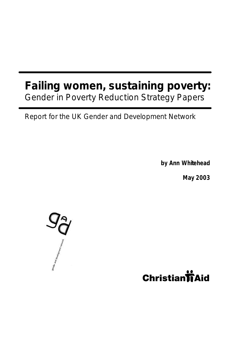# **Failing women, sustaining poverty:** Gender in Poverty Reduction Strategy Papers

Report for the UK Gender and Development Network

**by Ann Whitehead**

**May 2003** 



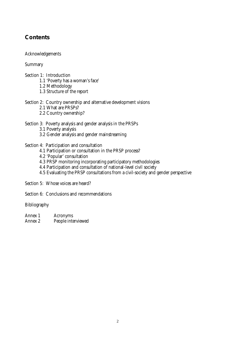## **Contents**

Acknowledgements

Summary

- Section 1: Introduction
	- 1.1 'Poverty has a woman's face'
	- 1.2 Methodology
	- 1.3 Structure of the report
- Section 2: Country ownership and alternative development visions
	- 2.1 What are PRSPs?
	- 2.2 Country ownership?

### Section 3: Poverty analysis and gender analysis in the PRSPs

- 3.1 Poverty analysis
- 3.2 Gender analysis and gender mainstreaming
- Section 4: Participation and consultation
	- 4.1 Participation or consultation in the PRSP process?
	- 4.2 'Popular' consultation
	- 4.3 PRSP monitoring incorporating participatory methodologies
	- 4.4 Participation and consultation of national-level civil society
	- 4.5 Evaluating the PRSP consultations from a civil-society and gender perspective

Section 5: Whose voices are heard?

Section 6: Conclusions and recommendations

Bibliography

- Annex 1 Acronyms
- Annex 2 People interviewed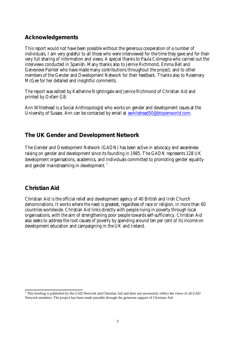## **Acknowledgements**

This report would not have been possible without the generous cooperation of a number of individuals. I am very grateful to all those who were interviewed for the time they gave and for their very full sharing of information and views. A special thanks to Paula Colmegna who carried out the interviews conducted in Spanish. Many thanks also to Jennie Richmond, Emma Bell and Genevieve Painter who have made many contributions throughout the project, and to other members of the Gender and Development Network for their feedback. Thanks also to Rosemary McGee for her detailed and insightful comments.

The report was edited by Katherine Nightingale and Jennie Richmond of Christian Aid and printed by Oxfam GB.

Ann Whitehead is a Social Anthropologist who works on gender and development issues at the University of Sussex. Ann can be contacted by email at awhitehead50@btopenworld.com.

## **The UK Gender and Development Network**

The Gender and Development Network (GADN) has been active in advocacy and awarenessraising on gender and development since its founding in 1985. The GADN represents 128 UK development organisations, academics, and individuals committed to promoting gender equality and gender mainstreaming in development.<sup>1</sup>

## **Christian Aid**

Christian Aid is the official relief and development agency of 40 British and Irish Church denominations. It works where the need is greatest, regardless of race or religion, in more than 60 countries worldwide. Christian Aid links directly with people living in poverty through local organisations, with the aim of strengthening poor people towards self-sufficiency. Christian Aid also seeks to address the root causes of poverty by spending around ten per cent of its income on development education and campaigning in the UK and Ireland.

 1 This briefing is published by the GAD Network and Christian Aid and does not necessarily reflect the views of all GAD Network members. The project has been made possible through the generous support of Christian Aid.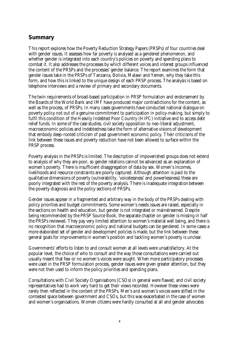## **Summary**

This report explores how the Poverty Reduction Strategy Papers (PRSPs) of four countries deal with gender issues. It assesses how far poverty is analysed as a gendered phenomenon, and whether gender is integrated into each country's policies on poverty and spending plans to combat it. It also addresses the processes by which different voices and interest groups influenced the content of the PRSPs and the processes' gender balance. The report examines the form that gender issues take in the PRSPs of Tanzania, Bolivia, Malawi and Yemen, why they take this form, and how this is linked to the unique design of each PRSP process. The analysis is based on telephone interviews and a review of primary and secondary documents.

The twin requirements of broad-based participation in PRSP formulation and endorsement by the Boards of the World Bank and IMF have produced major contradictions for the content, as well as the process, of PRSPs. In many cases governments have conducted national dialogue on poverty policy not out of a genuine commitment to participation in policy-making, but simply to fulfil this condition of the Heavily Indebted Poor Country (HIPC) initiative and to access debt relief funds. In some of the case studies, civil society opposition to neo-liberal adjustment, macroeconomic policies and indebtedness take the form of alternative visions of development that embody deep-rooted criticism of past government economic policy. Their criticisms of the link between these issues and poverty reduction have not been allowed to surface within the PRSP process.

Poverty analysis in the PRSPs is limited. The description of impoverished groups does not extend to analysis of why they are poor, so gender relations cannot be advanced as an explanation of women's poverty. There is insufficient disaggregation of data by sex. Women's incomes, livelihoods and resource constraints are poorly captured. Although attention is paid to the qualitative dimensions of poverty (vulnerability, 'voicelessness' and powerlessness) these are poorly integrated with the rest of the poverty analysis. There is inadequate integration between the poverty diagnosis and the policy sections of PRSPs.

Gender issues appear in a fragmented and arbitrary way in the body of the PRSPs dealing with policy priorities and budget commitments. Some women's needs issues are raised, especially in the sections on health and education, but gender is not integrated or mainstreamed. Despite being recommended by the PRSP Source Book, the separate chapter on gender is missing in half the PRSPs reviewed. They pay very limited attention to women's material well being, and there is no recognition that macroeconomic policy and national budgets can be gendered. In some cases a more elaborated set of gender and development policies is made, but the link between these general goals for improvements in women's position and tackling women's poverty is unclear.

Governments' efforts to listen to and consult women at all levels were unsatisfactory. At the popular level, the choice of who to consult and the way those consultations were carried out usually meant that few or no women's voices were sought. When more participatory processes were used in the PRSP formulation process, gender issues were given greater attention, but they were not then used to inform the policy priorities and spending plans.

Consultations with Civil Society Organisations (CSOs) in general were flawed, and civil society representatives had to work very hard to get their views recorded. However these views were rarely then reflected in the content of the PRSPs. Men's *and* women's voices were stifled in the contested space between government and CSOs, but this was exacerbated in the case of women and women's organisations. Women citizens were hardly consulted at all and gender advocates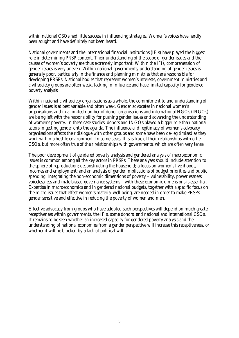within national CSOs had little success in influencing strategies. Women's voices have hardly been sought and have definitely not been heard.

National governments and the international financial institutions (IFIs) have played the biggest role in determining PRSP content. Their understanding of the scope of gender issues and the causes of women's poverty are thus extremely important. Within the IFIs, comprehension of gender issues is very uneven. Within national governments, understanding of gender issues is generally poor, particularly in the finance and planning ministries that are responsible for developing PRSPs. National bodies that represent women's interests, government ministries and civil society groups are often weak, lacking in influence and have limited capacity for gendered poverty analysis.

Within national civil society organisations as a whole, the commitment to and understanding of gender issues is at best variable and often weak. Gender advocates in national women's organisations and in a limited number of donor organisations and international NGOs (INGOs) are being left with the responsibility for pushing gender issues and advancing the understanding of women's poverty. In these case studies, donors and INGOs played a bigger role than national actors in getting gender onto the agenda. The influence and legitimacy of women's advocacy organisations affects their dialogue with other groups and some have been de-legitimised as they work within a hostile environment. In some cases, this is true of their relationships with other CSOs, but more often true of their relationships with governments, which are often very tense.

The poor development of gendered poverty analysis and gendered analysis of macroeconomic issues is common among all the key actors in PRSPs. These analyses should include attention to the sphere of reproduction; deconstructing the household; a focus on women's livelihoods, incomes and employment; and an analysis of gender implications of budget priorities and public spending. Integrating the non-economic dimensions of poverty – vulnerability, powerlessness, voicelessness and male-biased governance systems – with these economic dimensions is essential. Expertise in macroeconomics and in gendered national budgets, together with a specific focus on the micro issues that effect women's material well being, are needed in order to make PRSPs gender sensitive and effective in reducing the poverty of women and men.

Effective advocacy from groups who have adopted such perspectives will depend on much greater receptiveness within governments, the IFIs, some donors, and national and international CSOs. It remains to be seen whether an increased capacity for gendered poverty analysis and the understanding of national economies from a gender perspective will increase this receptiveness, or whether it will be blocked by a lack of political will.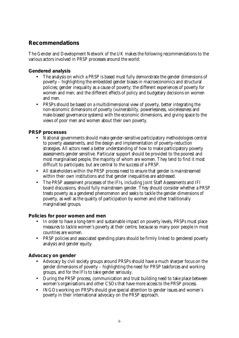## **Recommendations**

The Gender and Development Network of the UK makes the following recommendations to the various actors involved in PRSP processes around the world:

### **Gendered analysis**

- The analysis on which a PRSP is based must fully demonstrate the gender dimensions of poverty – highlighting the embedded gender biases in macroeconomics and structural policies; gender inequality as a cause of poverty; the different experiences of poverty for women and men; and the different effects of policy and budgetary decisions on women and men.
- PRSPs should be based on a multidimensional view of poverty, better integrating the non-economic dimensions of poverty (vulnerability, powerlessness, voicelessness and male-biased governance systems) with the economic dimensions, and giving space to the views of poor men and women about their own poverty.

### **PRSP processes**

- National governments should make gender-sensitive participatory methodologies central to poverty assessments, and the design and implementation of poverty-reduction strategies. All actors need a better understanding of how to make participatory poverty assessments gender sensitive. Particular support should be provided to the poorest and most marginalised people, the majority of whom are women. They tend to find it most difficult to participate, but are central to the success of a PRSP.
- All stakeholders within the PRSP process need to ensure that gender is mainstreamed within their own institutions and that gender inequalities are addressed.
- The PRSP assessment processes of the IFIs, including Joint Staff Assessments and IFI board discussions, should fully mainstream gender. They should consider whether a PRSP treats poverty as a gendered phenomenon and seeks to tackle the gender dimensions of poverty, as well as the quality of participation by women and other traditionally marginalised groups.

### **Policies for poor women and men**

- In order to have a long-term and sustainable impact on poverty levels, PRSPs must place measures to tackle women's poverty at their centre, because so many poor people in most countries are women.
- PRSP policies and associated spending plans should be firmly linked to gendered poverty analysis and gender equity.

### **Advocacy on gender**

- Advocacy by civil society groups around PRSPs should have a much sharper focus on the gender dimensions of poverty – highlighting the need for PRSP taskforces and working groups, and for the IFIs to take gender seriously.
- During the PRSP process, communication and trust building need to take place between women's organisations and other CSOs that have more access to the PRSP process.
- INGOs working on PRSPs should give special attention to gender issues and women's poverty in their international advocacy on the PRSP approach.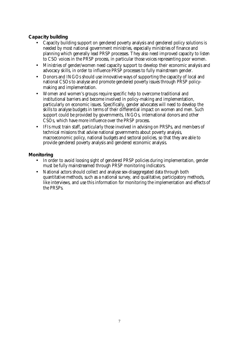### **Capacity building**

- Capacity building support on gendered poverty analysis and gendered policy solutions is needed by most national government ministries, especially ministries of finance and planning which generally lead PRSP processes. They also need improved capacity to listen to CSO voices in the PRSP process, in particular those voices representing poor women.
- Ministries of gender/women need capacity support to develop their economic analysis and advocacy skills, in order to influence PRSP processes to fully mainstream gender.
- Donors and INGOs should use innovative ways of supporting the capacity of local and national CSOs to analyse and promote gendered poverty issues through PRSP policymaking and implementation.
- Women and women's groups require specific help to overcome traditional and institutional barriers and become involved in policy-making and implementation, particularly on economic issues. Specifically, gender advocates will need to develop the skills to analyse budgets in terms of their differential impact on women and men. Such support could be provided by governments, INGOs, international donors and other CSOs, which have more influence over the PRSP process.
- IFIs must train staff, particularly those involved in advising on PRSPs, and members of technical missions that advise national governments about poverty analysis, macroeconomic policy, national budgets and sectoral policies, so that they are able to provide gendered poverty analysis and gendered economic analysis.

### **Monitoring**

- In order to avoid loosing sight of gendered PRSP policies during implementation, gender must be fully mainstreamed through PRSP monitoring indicators.
- National actors should collect and analyse sex-disaggregated data through both quantitative methods, such as a national survey, and qualitative, participatory methods, like interviews, and use this information for monitoring the implementation and effects of the PRSPs.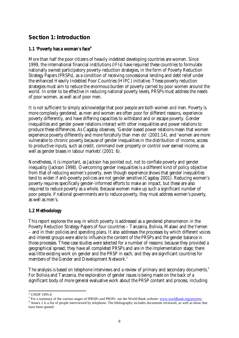## **Section 1: Introduction**

### **1.1 'Poverty has a woman's face'<sup>2</sup>**

More than half the poor citizens of heavily indebted developing countries are women. Since 1999, the international financial institutions (IFIs) have required these countries to formulate nationally owned participatory poverty-reduction strategies, in the form of Poverty Reduction Strategy Papers (PRSPs), as a condition of receiving concessional lending and debt relief under the enhanced Heavily Indebted Poor Countries (HIPC) initiative. These poverty reduction strategies must aim to reduce the enormous burden of poverty carried by poor women around the world. In order to be effective in reducing national poverty levels, PRSPs must address the needs of poor women, as well as of poor men.

It is not sufficient to simply acknowledge that poor people are both women *and* men. Poverty is more complexly gendered, as men and women are often poor for different reasons, experience poverty differently, and have differing capacities to withstand and or escape poverty. Gender inequalities and gender power relations interact with other inequalities and power relations to produce these differences. As Cagatay observes, 'Gender-based power relations mean that women experience poverty differently and more forcefully than men do' (2001:14), and 'women are more vulnerable to chronic poverty because of gender inequalities in the distribution of income, access to productive inputs, such as credit, command over property or control over earned income, as well as gender biases in labour markets' (2001: 6).

Nonetheless, it is important, as Jackson has pointed out, not to conflate poverty and gender inequality (Jackson 1998). Overcoming gender inequalities is a different kind of policy objective from that of reducing women's poverty, even though experience shows that gender inequalities tend to widen if anti-poverty policies are not gender sensitive (Cagatay 2001). Reducing women's poverty requires specifically gender-informed efforts to make an impact, but these are also required to reduce poverty as a whole. Because women make up such a significant number of poor people, if national governments are to reduce poverty, they must address women's poverty, as well as men's.

### **1.2 Methodology**

This report explores the way in which poverty is addressed as a gendered phenomenon in the Poverty Reduction Strategy Papers of four countries – Tanzania, Bolivia, Malawi and the Yemen – and in their policies and spending plans. It also addresses the processes by which different voices and interest groups were able to influence the content of the PRSPs and the gender balance in those processes. These case studies were selected for a number of reasons: because they provided a geographical spread; they have all completed PRSPs and are in the implementation stage; there was little existing work on gender and the PRSP in each; and they are significant countries for members of the Gender and Development Network.<sup>3</sup>

The analysis is based on telephone interviews and a review of primary and secondary documents.<sup>4</sup> For Bolivia and Tanzania, the exploration of gender issues is being made on the back of a significant body of more general evaluative work about the PRSP content and process, including

 2 UNDP 1995:4

<sup>&</sup>lt;sup>3</sup> For a summary of the various stages of IPRSPs and PRSPs see the World Bank website: www.worldbank.org/poverty.

<sup>4</sup> Annex 2 is a list of people interviewed by telephone. The bibliography includes documents reviewed, as well as those that have been quoted.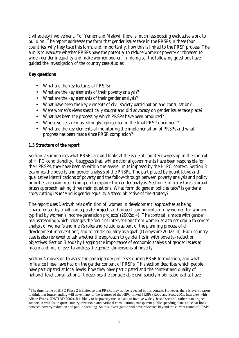civil society involvement. For Yemen and Malawi, there is much less existing evaluative work to build on. The report addresses the form that gender issues take in the PRSPs in these four countries, why they take this form, and, importantly, how this is linked to the PRSP process. The aim is to evaluate whether PRSPs have the potential to reduce women's poverty or threaten to widen gender inequality and make women poorer. 5 In doing so, the following questions have guided the investigation of the country case studies:

### **Key questions**

- What are the key features of PRSPs?
- What are the key elements of their poverty analysis?
- What are the key elements of their gender analysis?
- What have been the key elements of civil society participation and consultation?
- Were women's views specifically sought and did advocacy on gender issues take place?
- What has been the process by which PRSPs have been produced?
- Whose voices are most strongly represented in the final PRSP document?
- What are the key elements of monitoring the implementation of PRSPs and what progress has been made since PRSP completion?

### **1.3 Structure of the report**

Section 2 summarises what PRSPs are and looks at the issue of country ownership in the context of HIPC conditionality. It suggests that, while national governments have been responsible for their PRSPs, they have been so within the severe limits imposed by the HIPC context. Section 3 examines the poverty and gender analysis of the PRSPs. The part played by quantitative and qualitative identifications of poverty and the follow-through between poverty analysis and policy priorities are examined. Going on to explore the gender analysis, Section 3 initially takes a broadbrush approach, asking three main questions. What form do gender policies take? Is gender a cross-cutting issue? And is gender equality a stated objective of the strategy?

The report uses Derbyshire's definition of 'women in development' approaches as being 'characterised by small and separate projects and project components run by women for women, typified by women's income-generation projects' (2002a: 4). The contrast is made with gender mainstreaming which 'changes the focus of interventions from women as a target group to *gender analysis* of women's and men's roles and relations as part of the planning process of all development interventions, and to *gender equality* as a goal' (Derbyshire 2002a: 4). Each country case is also reviewed to ask whether the approach to gender fits in with poverty–reduction objectives. Section 3 ends by flagging the importance of economic analysis of gender issues at macro and micro level to address the gender dimensions of poverty.

Section 4 moves on to assess the participatory processes during PRSP formulation, and what influence these have had on the gender content of PRSPs. This section describes which people have participated at local levels, how they have participated and the content and quality of national-level consultations. It describes the considerable civil-society mobilisations that have

<sup>&</sup>lt;sup>5</sup> The time frame of HIPC Phase 2 is finite, so that PRSPs may not be repeated in this context. However, there is every reason to think that future lending will have many of the features of the HIPC-linked PRSPs (Robb and Scott 2001, Interview with Alison Evans, UNCTAD 2002). It is likely to be poverty focused and to involve widely-based sectoral, rather than project, support; it will also require country ownership and national consultations, transparent public spending plans and clear links between poverty reduction and public spending. So this investigation will have relevance beyond the current round of PRSPs.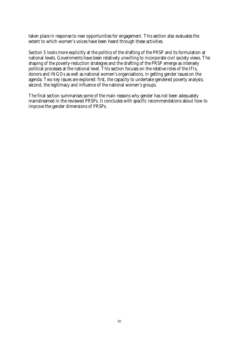taken place in response to new opportunities for engagement. This section also evaluates the extent to which women's voices have been heard through these activities.

Section 5 looks more explicitly at the politics of the drafting of the PRSP and its formulation at national levels. Governments have been relatively unwilling to incorporate civil society views. The shaping of the poverty-reduction strategies and the drafting of the PRSP emerge as intensely political processes at the national level. This section focuses on the relative roles of the IFIs, donors and INGOs as well as national women's organisations, in getting gender issues on the agenda. Two key issues are explored: first, the capacity to undertake gendered poverty analysis; second, the legitimacy and influence of the national women's groups.

The final section summarises some of the main reasons why gender has not been adequately mainstreamed in the reviewed PRSPs. It concludes with specific recommendations about how to improve the gender dimensions of PRSPs.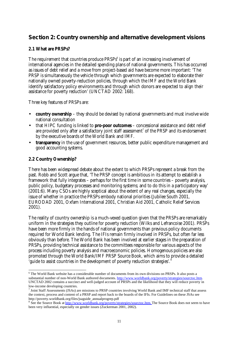## **Section 2: Country ownership and alternative development visions**

### **2.1 What are PRSPs?**

The requirement that countries produce  $\text{PRSPs}^6$  is part of an increasing involvement of international agencies in the detailed spending plans of national governments. This has occurred as issues of debt relief and a move from project-based aid have become more important: 'The PRSP is simultaneously the vehicle through which governments are expected to elaborate their nationally owned poverty-reduction policies, through which the IMF and the World Bank identify satisfactory policy environments and through which donors are expected to align their assistance for poverty reduction' (UNCTAD 2002: 168).

Three key features of PRSPs are:

- **country ownership** they should be devised by national governments and must involve wide national consultation
- that HIPC funding is linked to **pro-poor outcomes** concessional assistance and debt relief are provided only after a satisfactory joint staff assessment<sup>7</sup> of the PRSP and its endorsement by the executive boards of the World Bank and IMF.
- **transparency** in the use of government resources, better public expenditure management and good accounting systems.

### **2.2 Country Ownership?**

l

There has been widespread debate about the extent to which PRSPs represent a break from the past. Robb and Scott argue that, 'The PRSP concept is ambitious in its attempt to establish a framework that fully integrates – perhaps for the first time in some countries – poverty analysis, public policy, budgetary processes and monitoring systems; and to do this in a participatory way' (2001:6). Many CSOs are highly sceptical about the extent of any real changes, especially the issue of whether in practice the PRSPs embody national priorities (Jubilee South 2001, EURODAD 2001, Oxfam International 2001, Christian Aid 2001, Catholic Relief Services 2001).

The reality of country ownership is a much-vexed question given that the PRSPs are remarkably uniform in the strategies they outline for poverty reduction (Wilks and Lefrancoise 2001). PRSPs have been more firmly in the hands of national governments than previous policy documents required for World Bank lending. The IFIs remain firmly involved in PRSPs, but often far less obviously than before. The World Bank has been involved at earlier stages in the preparation of PRSPs, providing technical assistance to the committees responsible for various aspects of the process including poverty analysis and macroeconomic policies. Homogenous policies are also promoted through the World Bank/IMF PRSP Source Book, which aims to provide a detailed 'guide to assist countries in the development of poverty reduction strategies'.<sup>8</sup>

<sup>&</sup>lt;sup>6</sup> The World Bank website has a considerable number of documents from its own divisions on PRSPs. It also posts a substantial number of non-World Bank authored documents. http://www.worldbank.org/poverty/strategies/sourctoc.htm. UNCTAD 2002 contains a succinct and well-judged account of PRSPs and the likelihood that they will reduce poverty in low-income developing countries.

<sup>7</sup> Joint Staff Assessments (JSAs) are missions to PRSP countries involving World Bank and IMF technical staff that assess the context, process and content of a PRSP and report back to the boards of the IFIs. For Guidelines on these JSAs see http://poverty.worldbank.org/files/jsaguide\_annualprogrep.pdf

<sup>&</sup>lt;sup>8</sup> See the Source Book at http://www.worldbank.org/poverty/strategies/sourctoc.htm. The Source Book does not seem to have been very influential, especially on gender issues (Zuckerman 2001, 2002).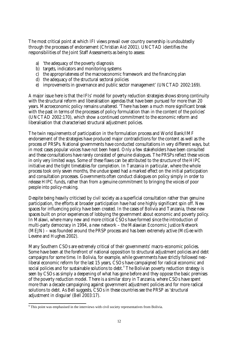The most critical point at which IFI views prevail over country ownership is undoubtedly through the processes of endorsement (Christian Aid 2001). UNCTAD identifies the responsibilities of the Joint Staff Assessments as being to assess:

- a) 'the adequacy of the poverty diagnosis
- b) targets, indicators and monitoring systems
- c) the appropriateness of the macroeconomic framework and the financing plan
- d) the adequacy of the structural sectoral policies
- e) improvements in governance and public sector management' (UNCTAD 2002:169).

A major issue here is that the IFIs' model for poverty reduction strategies shows strong continuity with the structural reform and liberalisation agendas that have been pursued for more than 20 years. Macroeconomic policy remains unaltered. 'There has been a much more significant break with the past in terms of the processes of policy formulation than in the content of the policies' (UNCTAD 2002:170), which show a continued commitment to the economic reform and liberalisation that characterised structural adjustment policies.

The twin requirements of participation in the formulation process and World Bank/IMF endorsement of the strategies have produced major contradictions for the content as well as the process of PRSPs. National governments have conducted consultations in very different ways, but in most cases popular voices have not been heard. Only a few stakeholders have been consulted and these consultations have rarely consisted of genuine dialogues. The PRSPs reflect these voices in only very limited ways. Some of these flaws can be attributed to the structure of the HIPC initiative and the tight timetables for completion. In Tanzania in particular, where the whole process took only seven months, the undue speed had a marked effect on the initial participation and consultation processes. Governments often conduct dialogues on policy simply in order to release HIPC funds, rather than from a genuine commitment to bringing the voices of poor people into policy-making.

Despite being heavily criticised by civil society as a superficial consultation rather than genuine participation, the efforts at broader participation have had one highly significant spin off. New spaces for influencing policy have been created. In the cases of Bolivia and Tanzania, these new spaces built on prior experiences of lobbying the government about economic and poverty policy. In Malawi, where many new and more critical CSOs have formed since the introduction of multi-party democracy in 1994, a new network – the Malawian Economic Justice Network (MEJN) – was founded around the PRSP process and has been extremely active (McGee with Levene and Hughes 2002).

Many Southern CSOs are extremely critical of their governments' macro-economic policies. Some have been at the forefront of national opposition to structural adjustment policies and debt campaigns for some time. In Bolivia, for example, while governments have strictly followed neoliberal economic reform for the last 15 years, CSOs have campaigned for radical economic and social policies and for sustainable solutions to debt. $^{\circ}$  The Bolivian poverty reduction strategy is seen by CSOs as simply a deepening of what has gone before and they oppose the basic premises of the poverty reduction model. There is a similar story in Tanzania, where CSOs have spent more than a decade campaigning against government adjustment policies and for more radical solutions to debt. As Bell suggests, CSOs in these countries see the PRSP as 'structural adjustment in disguise' (Bell 2003:17).

<sup>&</sup>lt;sup>9</sup> This point was emphasised in the interviews with civil society representatives from Bolivia.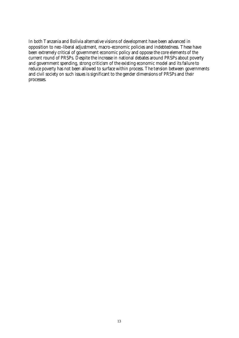In both Tanzania and Bolivia alternative visions of development have been advanced in opposition to neo-liberal adjustment, macro-economic policies and indebtedness. These have been extremely critical of government economic policy and oppose the core elements of the current round of PRSPs. Despite the increase in national debates around PRSPs about poverty and government spending, strong criticism of the existing economic model and its failure to reduce poverty has not been allowed to surface within process. The tension between governments and civil society on such issues is significant to the gender dimensions of PRSPs and their processes.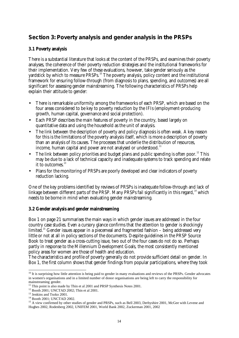## **Section 3: Poverty analysis and gender analysis in the PRSPs**

### **3.1 Poverty analysis**

There is a substantial literature that looks at the content of the PRSPs, and examines their poverty analyses, the coherence of their poverty reduction strategies and the institutional frameworks for their implementation. Very few of these evaluations, however, take gender seriously as the yardstick by which to measure PRSPs.<sup>10</sup> The poverty analysis, policy content and the institutional framework for ensuring follow-through (from diagnosis to plans, spending, and outcomes) are all significant for assessing gender mainstreaming. The following characteristics of PRSPs help explain their attitude to gender:

- There is remarkable uniformity among the frameworks of each PRSP, which are based on the four areas considered to be key to poverty reduction by the IFIs (employment-producing growth, human capital, governance and social protection).
- Each PRSP describes the main features of poverty in the country, based largely on quantitative data and using the household as the unit of analysis.
- The link between the description of poverty and policy diagnosis is often weak. A key reason for this is the limitations of the poverty analysis itself, which is more a description of poverty than an analysis of its causes. The processes that underlie the distribution of resources, income, human capital and power are not analysed or understood.<sup>11</sup>
- The link between policy priorities and budget plans and public spending is often poor.<sup>12</sup> This may be due to a lack of technical capacity and inadequate systems to track spending and relate it to outcomes.<sup>13</sup>
- Plans for the monitoring of PRSPs are poorly developed and clear indicators of poverty reduction lacking.

One of the key problems identified by reviews of PRSPs is inadequate follow-through and lack of linkage between different parts of the PRSP. Many PRSPs fail significantly in this regard,  $14$  which needs to be borne in mind when evaluating gender mainstreaming.

### **3.2 Gender analysis and gender mainstreaming**

Box 1 on page 21 summarises the main ways in which gender issues are addressed in the four country case studies. Even a cursory glance confirms that the attention to gender is shockingly limited.<sup>15</sup> Gender issues appear in a piecemeal and fragmented fashion – being addressed very little or not at all in policy sections of the documents. Despite guidelines in the PRSP Source Book to treat gender as a cross-cutting issue, two out of the four cases do not do so. Perhaps partly in response to the Millennium Development Goals, the most consistently mentioned policy areas for women are those of health and education.

The characteristics and profile of poverty generally do not provide sufficient detail on gender. In Box 1, the first column shows that gender findings from popular participations, where they took

l

 $10$  It is surprising how little attention is being paid to gender in many evaluations and reviews of the PRSPs. Gender advocates in women's organisations and in a limited number of donor organisations are being left to carry the responsibility for mainstreaming gender.

 $11$  This point is also made by Thin et al 2001 and PRSP Synthesis Notes 2001.

<sup>&</sup>lt;sup>12</sup> Booth 2001; UNCTAD 2002; Thin et al 2001.

<sup>13</sup> Jenkins and Tsoko 2001.

<sup>14</sup> Booth 2001; UNCTAD 2002.

<sup>&</sup>lt;sup>15</sup> A view confirmed by other studies of gender and PRSPs, such as Bell 2003, Derbyshire 2001, McGee with Levene and Hughes 2002, Rodenberg 2002, UNIFEM 2001, World Bank 2002, Zuckerman 2001, 2002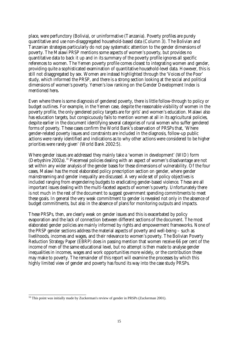place, were perfunctory (Bolivia), or uninformative (Tanzania). Poverty profiles are purely quantitative and use non-disaggregated household-based data (Column 3). The Bolivian and Tanzanian strategies particularly do not pay systematic attention to the gender dimensions of poverty. The Malawi PRSP mentions some aspects of women's poverty, but provides no quantitative data to back it up and in its summary of the poverty profile ignores all specific references to women. The Yemen poverty profile comes closest to integrating women and gender, providing quite a sophisticated examination of quantitative household-level data. However, this is still not disaggregated by sex. Women are instead highlighted through the 'Voices of the Poor' study, which informed the PRSP, and there is a strong section looking at the social and political dimensions of women's poverty. Yemen's low ranking on the Gender Development Index is mentioned here**.**

Even where there is some diagnosis of gendered poverty, there is little follow-through to policy or budget outlines. For example, in the Yemen case, despite the reasonable visibility of women in the poverty profile, the only gendered policy targets are for girls' and women's education. Malawi also has education targets, but conspicuously fails to mention women at all in its agricultural policies, despite earlier in the document identifying several categories of rural women who suffer gendered forms of poverty. These cases confirm the World Bank's observation of PRSPs that, 'Where gender-related poverty issues and constraints are included in the diagnosis, follow-up public actions were rarely identified and indications as to why other actions were considered to be higher priorities were rarely given' (World Bank 2002:5).

Where gender issues are addressed they mainly take a 'women in development' (WID) form (Derbyshire 2002a).<sup>16</sup> Piecemeal policies dealing with an aspect of women's disadvantage are not set within any wider analysis of the gender bases for these dimensions of vulnerability. Of the four cases, Malawi has the most elaborated policy prescription section on gender, where gender mainstreaming and gender inequality are discussed. A very wide set of policy objectives is included ranging from engendering budgets to eradicating gender-based violence. These are all important issues dealing with the multi-faceted aspects of women's poverty. Unfortunately there is not much in the rest of the document to suggest government spending commitments to meet these goals. In general the very weak commitment to gender is revealed not only in the absence of budget commitments, but also in the absence of plans for monitoring outputs and impacts.

These PRSPs, then, are clearly weak on gender issues and this is exacerbated by policy evaporation and the lack of connection between different sections of the document. The most elaborated gender policies are mainly informed by rights and empowerment frameworks. None of the PRSP gender sections address the material aspects of poverty and well-being – such as livelihoods, incomes and wages, and their relevance to women's poverty. The Bolivian Poverty Reduction Strategy Paper (EBRP) does in passing mention that women receive 66 per cent of the income of men of the same educational level, but no attempt is then made to analyse gender inequalities in incomes, wages and work opportunities more widely, or the contribution these may make to poverty. The remainder of this report will examine the processes by which this highly limited view of gender and poverty has found its way into the case study PRSPs.

l <sup>16</sup> This point was initially made by Zuckerman's review of gender in PRSPs (Zuckerman 2001).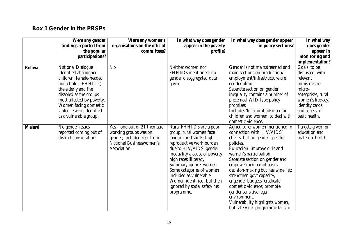## **Box 1 Gender in the PRSPs**

|                | Were any gender<br>findings reported from<br>the popular                                                                                                                                                                                                         | Were any women's<br>organisations on the official<br>committees?                                                                | In what way does gender<br>appear in the poverty<br>profile?                                                                                                                                                                                                                                                                                                   | In what way does gender appear<br>in policy sections?                                                                                                                                                                                                                                                                                                                                                                                                                                | In what way<br>does gender<br>appear in<br>monitoring and                                                                                                              |
|----------------|------------------------------------------------------------------------------------------------------------------------------------------------------------------------------------------------------------------------------------------------------------------|---------------------------------------------------------------------------------------------------------------------------------|----------------------------------------------------------------------------------------------------------------------------------------------------------------------------------------------------------------------------------------------------------------------------------------------------------------------------------------------------------------|--------------------------------------------------------------------------------------------------------------------------------------------------------------------------------------------------------------------------------------------------------------------------------------------------------------------------------------------------------------------------------------------------------------------------------------------------------------------------------------|------------------------------------------------------------------------------------------------------------------------------------------------------------------------|
|                | participations?                                                                                                                                                                                                                                                  |                                                                                                                                 |                                                                                                                                                                                                                                                                                                                                                                |                                                                                                                                                                                                                                                                                                                                                                                                                                                                                      | implementation?                                                                                                                                                        |
| <b>Bolivia</b> | <b>National Dialogue</b><br>identified abandoned<br>children, female-headed<br>households (FHHhDs),<br>the elderly and the<br>disabled as the groups<br>most affected by poverty.<br>Women facing domestic<br>violence were identified<br>as a vulnerable group. | No                                                                                                                              | Neither women nor<br>FHHhDs mentioned; no<br>gender disaggregated data<br>given.                                                                                                                                                                                                                                                                               | Gender is not mainstreamed and<br>main sections on production/<br>employment/infrastructure are<br>gender blind.<br>Separate section on gender<br>inequality contains a number of<br>piecemeal WID-type policy<br>promises.<br>Includes 'local ombudsman for<br>children and women' to deal with<br>domestic violence.                                                                                                                                                               | Goals 'to be<br>discussed' with<br>relevant<br>ministries re:<br>micro-<br>enterprises, rural<br>women's literacy,<br>identity cards<br>and access to<br>basic health. |
| <b>Malawi</b>  | No gender issues<br>reported coming out of<br>district consultations.                                                                                                                                                                                            | Yes – one out of 21 thematic<br>working groups was on<br>gender; included rep. from<br>National Businesswomen's<br>Association. | Rural FHHhDS are a poor<br>group; rural women face<br>labour constraints; high<br>reproductive work burden<br>due to HIV/AIDS; gender<br>inequality a cause of poverty;<br>high rates illiteracy.<br>Summary ignores women.<br>Some categories of women<br>included as vulnerable.<br>Women identified, but then<br>ignored by social safety net<br>programme. | Agriculture: women mentioned in<br>connection with HIV/AIDS'<br>effects; but no gender-specific<br>policies.<br>Education: improve girls and<br>women's participation.<br>Separate section on gender and<br>empowerment emphasises<br>decision-making but has wide list:<br>strengthen govt capacity;<br>engender budgets; eradicate<br>domestic violence; promote<br>gender sensitive legal<br>environment.<br>Vulnerability highlights women,<br>but safety net programme fails to | Targets given for<br>education and<br>maternal health.                                                                                                                 |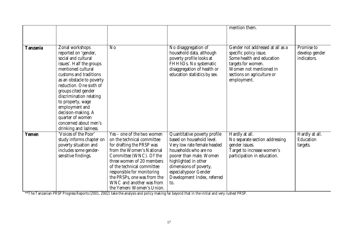|                 |                                                                                                                                                                                                                                                                                                                                                                                          |                                                                                                                                                                                                                                                                                                                                |                                                                                                                                                                                                                                                               | mention them.                                                                                                                                                                        |                                             |
|-----------------|------------------------------------------------------------------------------------------------------------------------------------------------------------------------------------------------------------------------------------------------------------------------------------------------------------------------------------------------------------------------------------------|--------------------------------------------------------------------------------------------------------------------------------------------------------------------------------------------------------------------------------------------------------------------------------------------------------------------------------|---------------------------------------------------------------------------------------------------------------------------------------------------------------------------------------------------------------------------------------------------------------|--------------------------------------------------------------------------------------------------------------------------------------------------------------------------------------|---------------------------------------------|
|                 |                                                                                                                                                                                                                                                                                                                                                                                          |                                                                                                                                                                                                                                                                                                                                |                                                                                                                                                                                                                                                               |                                                                                                                                                                                      |                                             |
| <b>Tanzania</b> | Zonal workshops<br>reported on 'gender,<br>social and cultural<br>issues'. Half the groups<br>mentioned cultural<br>customs and traditions<br>as an obstacle to poverty<br>reduction. One sixth of<br>groups cited gender<br>discrimination relating<br>to property, wage<br>employment and<br>decision-making. A<br>quarter of women<br>concerned about men's<br>drinking and laziness. | $\rm No$                                                                                                                                                                                                                                                                                                                       | No disaggregation of<br>household data, although<br>poverty profile looks at<br>FHHhDs. No systematic<br>disaggregation of health or<br>education statistics by sex.                                                                                          | Gender not addressed at all as a<br>specific policy issue.<br>Some health and education<br>targets for women.<br>Women not mentioned in<br>sections on agriculture or<br>employment. | Promise to<br>develop gender<br>indicators. |
| <b>Yemen</b>    | 'Voices of the Poor'<br>study informs chapter on<br>poverty situation and<br>includes some gender-<br>sensitive findings.                                                                                                                                                                                                                                                                | Yes – one of the two women<br>on the technical committee<br>for drafting the PRSP was<br>from the Women's National<br>Committee (WNC). Of the<br>three women of 20 members<br>of the technical committee<br>responsible for monitoring<br>the PRSPs, one was from the<br>WNC and another was from<br>the Yemeni Women's Union. | Quantitative poverty profile<br>based on household level.<br>Very low rate female headed<br>households who are no<br>poorer than male. Women<br>highlighted in other<br>dimensions of poverty,<br>especiallypoor Gender<br>Development Index, referred<br>to. | Hardly at all.<br>No separate section addressing<br>gender issues.<br>Target to increase women's<br>participation in education.                                                      | Hardly at all.<br>Education<br>targets.     |

\*\*The Tanzanian PRSP Progress Reports (2001, 2002) take the analysis and policy making far beyond that in the initial and very rushed PRSP.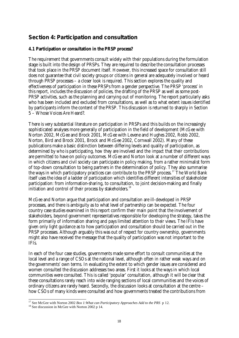## **Section 4: Participation and consultation**

### **4.1 Participation or consultation in the PRSP process?**

The requirement that governments consult widely with their populations during the formulation stage is built into the design of PRSPs. They are required to describe the consultation processes that took place in the PRSP document itself. However, this increased space for consultation still does not guarantee that civil society groups or citizens in general are adequately involved or heard through PRSP processes – a closer look is required. This section explores the quality and effectiveness of participation in these PRSPs from a gender perspective. The PRSP 'process' in this report, includes the discussion of policies, the drafting of the PRSP as well as some post-PRSP activities, such as the planning and carrying out of monitoring. The report particularly asks who has been included and excluded from consultations, as well as to what extent issues identified by participants inform the content of the PRSP. This discussion is returned to sharply in Section 5 – Whose Voices Are Heard?.

There is very substantial literature on participation in PRSPs and this builds on the increasingly sophisticated analyses more generally of participation in the field of development (McGee with Norton 2002, McGee and Brock 2001, McGee with Levene and Hughes 2002, Robb 2002, Norton, Bird and Brock 2001, Brock and McGee 2002, Cornwall 2002). Many of these publications make a basic distinction between differing levels and quality of participation, as determined by *who* is participating, *how* they are involved and the *impact* that their contributions are permitted to have on policy outcomes. McGee and Norton look at a number of different ways in which citizens and civil society can participate in policy making, from a rather minimalist form of top-down consultation to being partners in the determination of policy. They also summarise the ways in which participatory practices can contribute to the PRSP process.<sup>17</sup> The World Bank itself uses the idea of a ladder of participation which identifies different intensities of stakeholder participation: from information-sharing, to consultation, to joint decision-making and finally initiation and control of their process by stakeholders.<sup>18</sup>

McGee and Norton argue that participation and consultation are ill-developed in PRSP processes, and there is ambiguity as to what level of partnership can be expected. The four country case studies examined in this report confirm their main point that the involvement of stakeholders, beyond government representatives responsible for developing the strategy, takes the form primarily of information sharing and pays limited attention to their views. The IFIs have given only light guidance as to how participation and consultation should be carried out in the PRSP processes. Although arguably this was out of respect for country ownership, governments might also have received the message that the quality of participation was not important to the IFIs.

In each of the four case studies, governments made some effort to consult communities at the local level and a range of CSOs at the national level, although often in rather weak ways and on the governments' own terms. In evaluating the extent to which gender issues are considered and women consulted the discussion addresses two areas. First it looks at the ways in which local communities were consulted. This is called 'popular' consultation, although it will be clear that these consultations rarely reach into wide ranging sections of local communities and the voices of ordinary citizens are rarely heard. Secondly, the discussion looks at consultation at the centre – how CSOs of many kinds were consulted and how governments treated the contributions from

l <sup>17</sup> See McGee with Norton 2002 *Box 1: What can Participatory Approaches Add to the PRS* p 12.

<sup>&</sup>lt;sup>18</sup> See discussion in McGee with Norton 2002 p 14.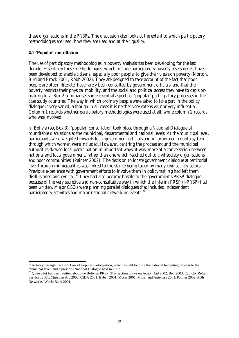these organisations in the PRSPs. The discussion also looks at the extent to which participatory methodologies are used, how they are used and at their quality.

### **4.2 'Popular' consultation**

l

The use of participatory methodologies in poverty analysis has been developing for the last decade. Essentially these methodologies, which include participatory poverty assessments, have been developed to enable citizens, especially poor people, to give their views on poverty (Norton, Bird and Brock 2001, Robb 2002). They are designed to take account of the fact that poor people are often illiterate, have rarely been consulted by government officials, and that their poverty restricts their physical mobility, and the social and political access they have to decisionmaking fora. Box 2 summarises some essential aspects of 'popular' participatory processes in the case study countries. The way in which ordinary people were asked to take part in the policy dialogue is very varied, although in all cases it is neither very extensive, nor very influential. Column 1 records whether participatory methodologies were used at all, while column 2 records who was involved.

In Bolivia (see Box 3), 'popular' consultation took place through a National Dialogue of roundtable discussions at the municipal, departmental and national levels. At the municipal level, participants were weighted towards local government officials and incorporated a quota system through which women were included. However, centring the process around the municipal authorities skewed local participation in important ways: it was 'more of a conversation between national and local government, rather than one which reached out to civil society organisations and poor communities' (Painter 2002). The decision to locate government dialogue at territorial level through municipalities was linked to the stance being taken by many civil society actors. Previous experience with government efforts to involve them in policymaking had left them disillusioned and cynical.<sup>19</sup> They had also become hostile to the government's PRSP dialogue because of the very secretive and non-consultative way in which the Interim PRSP (I-PRSP) had been written. Major CSOs were planning parallel dialogues that included independent participatory activities and major national networking events. $^{20}$ 

<sup>&</sup>lt;sup>19</sup> Notably through the 1995 Law of Popular Participation, which sought to bring the national budgeting process to the municipal level, and a previous National Dialogue held in 1997.

<sup>&</sup>lt;sup>20</sup> Quite a lot has been written about the Bolivian PRSP. This section draws on Action Aid 2002, Bell 2003, Catholic Relief Services 2001, Christian Aid 2002, CIDA 2001, Eyben 2001, Moser 2001, Moser and Antenese 2001, Painter 2002, PDIs Networks, World Bank 2001.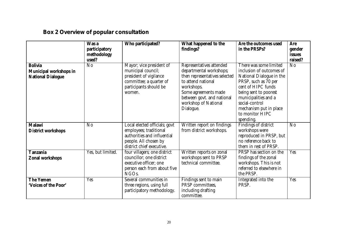## **Box 2 Overview of popular consultation**

|                                                                             | Was a<br>participatory<br>methodology<br>used? | Who participated?                                                                                                                            | What happened to the<br>findings?                                                                                                                                                                                   | Are the outcomes used<br>in the PRSPs?                                                                                                                                                                                                                    | Are<br>gender<br><b>issues</b><br>raised? |
|-----------------------------------------------------------------------------|------------------------------------------------|----------------------------------------------------------------------------------------------------------------------------------------------|---------------------------------------------------------------------------------------------------------------------------------------------------------------------------------------------------------------------|-----------------------------------------------------------------------------------------------------------------------------------------------------------------------------------------------------------------------------------------------------------|-------------------------------------------|
| <b>Bolivia</b><br><b>Municipal workshops in</b><br><b>National Dialogue</b> | $\overline{No}$                                | Mayor; vice president of<br>municipal council;<br>president of vigilance<br>committee; a quarter of<br>participants should be<br>women.      | Representatives attended<br>departmental workshops;<br>then representatives selected<br>to attend national<br>workshops.<br>Some agreements made<br>between govt. and national<br>workshop of National<br>Dialogue. | There was some limited<br>inclusion of outcomes of<br>National Dialogue in the<br>PRSP, such as 70 per<br>cent of HIPC funds<br>being sent to poorest<br>municipalities and a<br>social-control<br>mechanism put in place<br>to monitor HIPC<br>spending. | $\overline{No}$                           |
| <b>Malawi</b><br><b>District workshops</b>                                  | No                                             | Local elected officials; govt<br>employees; traditional<br>authorities and influential<br>people. All chosen by<br>district chief executive. | Written report on findings<br>from district workshops.                                                                                                                                                              | Findings of district<br>workshops were<br>reproduced in PRSP, but<br>no reference back to<br>them in rest of PRSP.                                                                                                                                        | $\overline{No}$                           |
| <b>Tanzania</b><br><b>Zonal workshops</b>                                   | Yes, but limited.                              | four villagers; one district<br>councillor; one district<br>executive officer; one<br>person each from about five<br>NGO <sub>s.</sub>       | Written reports on zonal<br>workshops sent to PRSP<br>technical committee.                                                                                                                                          | PRSP has section on the<br>findings of the zonal<br>workshops. This is not<br>referred to elsewhere in<br>the PRSP.                                                                                                                                       | <b>Yes</b>                                |
| <b>The Yemen</b><br>'Voices of the Poor'                                    | Yes                                            | Several communities in<br>three regions, using full<br>participatory methodology.                                                            | Findings sent to main<br>PRSP committees,<br>including drafting<br>committee.                                                                                                                                       | Integrated into the<br>PRSP.                                                                                                                                                                                                                              | <b>Yes</b>                                |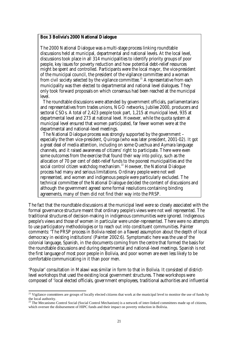#### **Box 3 Bolivia's 2000 National Dialogue**

The 2000 National Dialogue was a multi-stage process linking roundtable discussions held at municipal, departmental and national levels. At the local level, discussions took place in all 314 municipalities to identify priority groups of poor people, key issues for poverty reduction and how potential debt-relief resources might be spent and controlled. Participants were the local mayor, the vice-president of the municipal council, the president of the vigilance committee and a woman from civil society selected by the vigilance committee.<sup>21</sup> A representative from each municipality was then elected to departmental and national level dialogues. They only took forward proposals on which consensus had been reached at the municipal level.

The roundtable discussions were attended by government officials, parliamentarians and representatives from trades unions, NGO networks, Jubilee 2000, producers and sectoral CSOs. A total of 2,423 people took part, 1,215 at municipal level, 935 at departmental level and 273 at national level. However, while the quota system at municipal level ensured that women participated, far fewer women were at the departmental and national-level meetings.

The National Dialogue process was strongly supported by the government – especially the then vice-president, Quiroga (who was later president, 2001-02). It got a great deal of media attention, including on some Quechua and Aymara language channels, and it raised awareness of citizens' right to participate. There were even some outcomes from the exercise that found their way into policy, such as the allocation of 70 per cent of debt-relief funds to the poorest municipalities and the social control citizen watchdog mechanism.<sup>22</sup> However, the National Dialogue process had many and serious limitations. Ordinary people were not well represented, and women and indigenous people were particularly excluded. The technical committee of the National Dialogue decided the content of discussions and although the government agreed some formal resolutions containing binding agreements, many of them did not find their way into the PRSP.

The fact that the roundtable discussions at the municipal level were so closely associated with the formal governance structure meant that ordinary people's views were not well represented. The traditional structures of decision-making in indigenous communities were ignored. Indigenous people's views and those of women in particular were under-represented. There were no attempts to use participatory methodologies or to reach out into constituent communities. Painter comments: 'The PRSP process in Bolivia rested on a flawed assumption about the depth of local democracy in existing institutions' (Painter 2002:6). Symptomatic here was the use of the colonial language, Spanish, in the documents coming from the centre that formed the basis for the roundtable discussions and during departmental and national-level meetings. Spanish is not the first language of most poor people in Bolivia, and poor women are even less likely to be comfortable communicating in it than poor men.

'Popular' consultation in Malawi was similar in form to that in Bolivia. It consisted of districtlevel workshops that used the existing local government structures. These workshops were composed of 'local elected officials, government employees, traditional authorities and influential

l

<sup>&</sup>lt;sup>21</sup> Vigilance committees are groups of locally elected citizens that work at the municipal level to monitor the use of funds by the local authority.

<sup>&</sup>lt;sup>22</sup> The Mecanismo Control Social (Social Control Mechanism) is a network of inter-linked committees made up of citizens, which oversee the disbursement of HIPC funds and their impact on poverty reduction in Bolivia.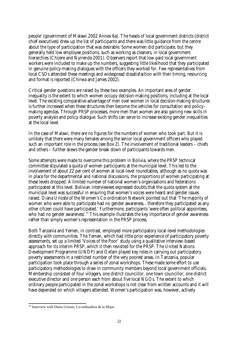people' (government of Malawi 2002 Annex 6a). The heads of local government districts (district chief executives) drew up the list of participants and there was little guidance from the centre about the type of participation that was desirable. Some women did participate, but they generally held low employee positions, such as working as cleaners, in local government hierarchies (Chijere and Nyirenda 2001). Observers report that low-paid local government workers were included to make up the numbers, suggesting little likelihood that they participated in genuine policy-making dialogues with the officers they worked for. Few representatives from local CSOs attended these meetings and widespread dissatisfaction with their timing, resourcing and format is reported (Chirwa and James 2002).

Critical gender questions are raised by these two examples. An important area of gender inequality is the extent to which women occupy decision-making positions, including at the local level. The existing comparative advantage of men over women in local decision-making structures is further increased when these structures then become the vehicles for consultation and policymaking agendas. Through PRSP processes, more men than women are also gaining new skills in poverty analysis and policy dialogue. Such shifts can serve to increase existing gender inequalities at the local level.

In the case of Malawi, there are no figures for the numbers of women who took part. But it is unlikely that there were many females among the senior local government officers who played such an important role in the process (see Box 2). The involvement of traditional leaders – chiefs and others – further skews the gender break down of participants towards men.

Some attempts were made to overcome this problem in Bolivia, where the PRSP technical committee stipulated a quota of women participants at the municipal level. This led to the involvement of about 22 per cent of women at local-level roundtables, although as no quota was in place for the departmental and national discussions, the proportions of women participating at these levels dropped. A limited number of national women's organisations and federations participated at this level. Bolivian interviewees expressed doubts that the quota system at the municipal level was successful in ensuring that women's voices were heard and gender issues raised. Diana Urioste of the Women's Co-ordination Network pointed out that 'The majority of women who were able to participate had no gender awareness…therefore they participated as any other citizen could have participated.' Furthermore, participants 'were often political appointees, who had no gender awareness'.<sup>23</sup> This example illustrates the key importance of gender awareness rather than simply women's representation in the PRSP process.

Both Tanzania and Yemen, in contrast, employed more participatory local-level methodologies directly with communities. The Yemen, which had little prior experience of participatory poverty assessments, set up a limited 'Voices of the Poor' study using a qualitative interview-based approach for its interim PRSP, which it then revisited for the PRSP. The United Nations Development Programme (UNDP) and Oxfam played key roles in carrying out participatory poverty assessments in a restricted number of the very poorest areas. In Tanzania, popular participation took place through a series of zonal workshops. These made some effort to use participatory methodologies to draw in community members beyond local government officials. Membership consisted of four villagers, one district councillor, one town councillor, one district executive director and one person each from about five local NGOs. The extent to which ordinary people participated in the zonal workshops is not clear from written accounts and it will have depended on which villagers attended. Women's participation was, however, actively

l

 $^{23}$  Interview with Diana Urioste, Co-ordinadora de la Mujer.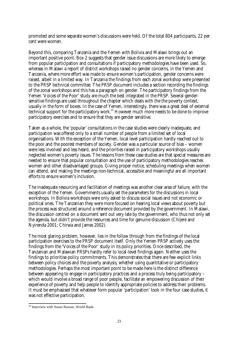promoted and some separate women's discussions were held. Of the total 804 participants, 22 per cent were women.

Beyond this, comparing Tanzania and the Yemen with Bolivia and Malawi brings out an important positive point. Box 2 suggests that gender issue discussions are more likely to emerge from popular participation and consultations if participatory methodologies have been used. So, whereas in Malawi a report of district workshops raised no gender concerns, in the Yemen and Tanzania, where more effort was made to ensure women's participation, gender concerns were raised, albeit in a limited way. In Tanzania the findings from each zonal workshop were presented to the PRSP technical committee. The PRSP document includes a section recording the findings of the zonal workshops and this has a paragraph on gender. The participatory findings from the Yemen 'Voices of the Poor' study are much the best integrated in the PRSP. Several gendersensitive findings are used throughout the chapter which deals with the the poverty context, usually in the form of boxes. In the case of Yemen, interestingly, there was a great deal of external technical support for the participatory work.<sup>24</sup> However much more needs to be done to improve participatory exercises and to ensure that they are gender sensitive.

Taken as a whole, the 'popular' consultations in the case studies were clearly inadequate, and participation was offered only to a small number of people from a limited set of local organisations. With the exception of the Yemen, local level participation hardly reached out to the poor and the poorest members of society. Gender was a particular source of bias – women were less involved and less heard, and the priorities raised in participatory workshops usually neglected women's poverty issues. The lessons from these case studies are that special measures are needed to ensure that popular consultation and the use of participatory methodologies reaches women and other disadvantaged groups. Giving proper notice, scheduling meetings when women can attend, and making the meetings non-technical, accessible and meaningful are all important efforts to ensure women's inclusion.

The inadequate resourcing and facilitation of meetings was another clear area of failure, with the exception of the Yemen. Governments usually set the parameters for the discussions in local workshops. In Bolivia workshops were only asked to discuss social issues and not economic or political ones. The Tanzanian they were more focused on hearing local views about poverty but the process was structured around a reference document provided by the government. In Malawi, the discussion centred on a document sent out very late by the government, who thus not only set the agenda, but didn't provide the resources and time for genuine discussion (Chijere and Nyirenda 2001; Chirwa and James 2002).

The most glaring problem, however, lies in the follow through from the findings of the local participation exercises to the PRSP document itself. Only the Yemen PRSP actively uses the findings from the 'Voices of the Poor' study in its policy priorities. Once described, the Tanzanian and Malawian PRSPs hardly refer to local-level findings again. Neither uses the findings to prioritise policy commitments. This demonstrates that there are few explicit links between policy choices and the poverty analysis, whether using quantitative or participatory methodologies. Perhaps the most important point to be made here is the distinct difference between appearing to engage in participatory practices and a process truly being participatory – which would involve a broad range of poor people, facilitate an empowering discussion of their experience of poverty and help people to identify appropriate policies to address their problems. It must be emphasised that whatever form popular 'participation' took in the four case studies, it was not effective participation.

l <sup>24</sup> Interview with Susan Razzaz, World Bank.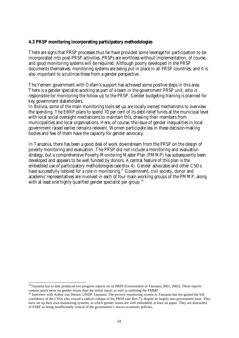### **4.3 PRSP monitoring incorporating participatory methodologies**

There are signs that PRSP processes thus far have provided some leverage for participation to be incorporated into post-PRSP activities. PRSPs are worthless without implementation, of course, and good monitoring systems will be required. Although poorly developed in the PRSP documents themselves, monitoring systems are being put in place in all PRSP countries, and it is also important to scrutinise these from a gender perspective.

The Yemeni government with Oxfam's support has achieved some positive steps in this area. There is a gender specialist working as part of a team in the government PRSP unit, who is responsible for monitoring the follow up to the PRSP. Gender budgeting training is planned for key government stakeholders.

In Bolivia, some of the main monitoring tools set up are locally owned mechanisms to overview the spending. The EBRP plans to spend 70 per cent of its debt-relief funds at the municipal level with local social oversight mechanisms to maintain this, drawing their members from municipalities and local organisations. Here, of course, the issue of gender inequalities in local government raised earlier remains relevant. Women participate less in these decision-making bodies and few of them have the capacity for gender advocacy.

In Tanzania, there has been a good deal of work downstream from the PRSP on the design of poverty monitoring and evaluation. The PRSP did not include a monitoring and evaluation strategy, but a comprehensive Poverty Monitoring Master Plan (PMMP) has subsequently been developed and appears to be well funded by donors. A central feature of this plan is the embedded use of participatory methodologies (see Box 4). Gender advocates and other CSOs have successfully lobbied for a role in monitoring.<sup>25</sup> Government, civil society, donor and academic representatives are involved in each of four main working groups of the PMMP, along with at least one highly qualified gender specialist per group.<sup>26</sup>

l  $^{25}$ Tanzania has to date produced two progress reports on its PRSP (Government of Tanzania 2001, 2002). These reports contain much more on gender issues than the initial report as well as outlining the PMMP.

<sup>&</sup>lt;sup>26</sup> Interview with Arthur van Diesen, UNDP Tanzania. The poverty monitoring system in Tanzania has not gained the full confidence of the CSOs who voiced a radical critique of the PRSP (see Box 7), despite its largely non-government base. They have set up their own monitoring systems, in which gender issues are well embedded, at least on paper. They are distrustful of ESRF as being insufficiently critical of the government's macro-economic policies.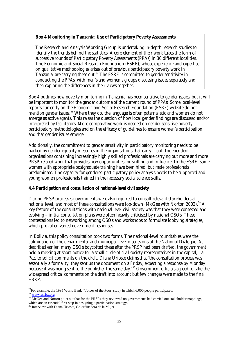### **Box 4 Monitoring in Tanzania: Use of Participatory Poverty Assessments**

The Research and Analysis Working Group is undertaking in-depth research studies to identify the trends behind the statistics. A core element of their work takes the form of successive rounds of Participatory Poverty Assessments (PPAs) in 30 different localities. The Economic and Social Research Foundation (ESRF), whose experience and expertise on qualitative methodologies arises out of previous participatory poverty work in Tanzania, are carrying these out.<sup>27</sup> The ESRF is committed to gender sensitivity in conducting the PPAs, with men's and women's groups discussing issues separately and then exploring the differences in their views together.

Box 4 outlines how poverty monitoring in Tanzania has been sensitive to gender issues, but it will be important to monitor the gender outcome of the current round of PPAs. Some local-level reports currently on the Economic and Social Research Foundation (ESRF) website do not mention gender issues.<sup>28</sup> Where they do, the language is often paternalistic and women do not emerge as active agents. This raises the question of how local gender findings are discussed and/or interpreted by facilitators. More comparative work is needed on gender-sensitive poverty participatory methodologies and on the efficacy of guidelines to ensure women's participation and that gender issues emerge.

Additionally, the commitment to gender sensitivity in participatory monitoring needs to be backed by gender equality measures in the organisations that carry it out. Independent organisations containing increasingly highly skilled professionals are carrying out more and more PRSP-related work that provides new opportunities for skilling and influence. In the ESRF, some women with appropriate postgraduate training have been hired, but male professionals predominate. The capacity for gendered participatory policy analysis needs to be supported and young women professionals trained in the necessary social science skills.

### **4.4 Participation and consultation of national-level civil society**

During PRSP processes governments were also required to consult relevant stakeholders at national level, and most of these consultations were top-down (McGee with Norton 2002).<sup>29</sup> A key feature of the consultations with national level civil society was that they were contested and evolving – initial consultation plans were often heavily criticised by national CSOs. These contestations led to networking among CSOs and workshops to formulate lobbying strategies, which provoked varied government responses.

In Bolivia, this policy consultation took two forms. The national-level roundtables were the culmination of the departmental and municipal-level discussions of the National Dialogue. As described earlier, many CSOs boycotted these after the PRSP had been drafted, the government held a meeting at short notice for a small circle of civil society representatives in the capital, La Paz, to solicit comments on the draft. Diana Urioste claims that 'the consultation process was essentially a formality, they sent us the document on a Friday, expecting a response by Monday because it was being sent to the publisher the same day.<sup>30</sup> Government officials agreed to take the widespread critical comments on the draft into account but few changes were made to the final EBRP.

l <sup>27</sup>For example, the 1995 World Bank 'Voices of the Poor' study in which 6,000 people participated.

<sup>28</sup> www.esrftz.org

<sup>&</sup>lt;sup>29</sup> McGee and Norton point out that for the PRSPs they reviewed no governments had carried out stakeholder mappings,

which are an essential first step in designing a participation strategy.

<sup>30</sup> Interview with Diana Urioste, Co-ordinadora de la Mujer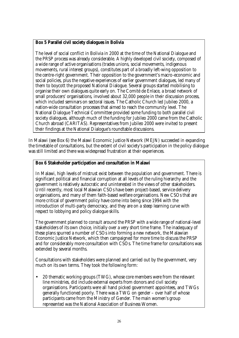### **Box 5 Parallel civil society dialogues in Bolivia**

The level of social conflict in Bolivia in 2000 at the time of the National Dialogue and the PRSP process was already considerable. A highly developed civil society, composed of a wide range of active organisations (trades unions, social movements, indigenous movements, rural interest groups), constitutes part of a broadly left-wing opposition to the centre-right government. Their opposition to the government's macro-economic and social policies, plus the negative experiences of earlier government dialogues, led many of them to boycott the proposed National Dialogue. Several groups started mobilising to organise their own dialogues quite early on. The Comité de Enlace, a broad network of small producers' organisations, involved about 32,000 people in their discussion process, which included seminars on sectoral issues. The Catholic Church led Jubileo 2000, a nation-wide consultation processes that aimed to reach the community level. The National Dialogue Technical Committee provided some funding to both parallel civil society dialogues, although much of the funding for Jubileo 2000 came from the Catholic Church abroad (CARITAS). Representatives from Jubileo 2000 were invited to present their findings at the National Dialogue's roundtable discussions.

In Malawi (see Box 6) the Malawi Economic Justice Network (MEJN) succeeded in expanding the timetable of consultations, but the extent of civil society's participation in the policy dialogue was still limited and there was widespread frustration at their experiences.

### **Box 6 Stakeholder participation and consultation in Malawi**

In Malawi, high levels of mistrust exist between the population and government. There is significant political and financial corruption at all levels of the ruling hierarchy and the government is relatively autocratic and uninterested in the views of other stakeholders. Until recently, most local Malawian CSOs have been project-based, service-delivery organisations, and many of them faith-based welfare organisations. New CSOs that are more critical of government policy have come into being since 1994 with the introduction of multi-party democracy, and they are on a steep learning curve with respect to lobbying and policy dialogue skills.

The government planned to consult around the PRSP with a wide range of national-level stakeholders of its own choice, initially over a very short time frame. The inadequacy of these plans spurred a number of CSOs into forming a new network, the Malawian Economic Justice Network, which then campaigned for more time to discuss the PRSP and for considerably more consultation with CSOs. The time frame for consultations was extended by several months.

Consultations with stakeholders were planned and carried out by the government, very much on its own terms. They took the following form:

• 20 thematic working groups (TWG), whose core members were from the relevant line ministries, did include external experts from donors and civil society organisations. Participants were all hand picked government appointees, and TWGs generally functioned poorly. There was a TWG on gender – over half of whose participants came from the Ministry of Gender. The main women's group represented was the National Association of Business Women.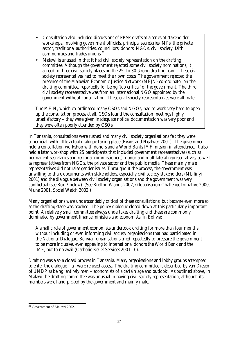- Consultation also included discussions of PRSP drafts at a series of stakeholder workshops, involving government officials, principal secretaries, MPs, the private sector, traditional authorities, councillors, donors, NGOs, civil society, faith communities and trades unions.<sup>31</sup>
- Malawi is unusual in that it had civil society representation on the drafting committee. Although the government rejected some civil society nominations, it agreed to three civil society places on the 25- to 30-strong drafting team. These civil society representatives had to meet their own costs. The government rejected the presence of the Malawian Economic Justice Network (MEJN) co-ordinator on the drafting committee, reportedly for being 'too critical' of the government. The third civil society representative was from an international NGO appointed by the government without consultation. These civil society representatives were all male.

The MEJN, which co-ordinated many CSOs and NGOs, had to work very hard to open up the consultation process at all. CSOs found the consultation meetings highly unsatisfactory – they were given inadequate notice, documentation was very poor and they were often poorly attended by CSOs.

In Tanzania, consultations were rushed and many civil society organisations felt they were superficial, with little actual dialogue taking place (Evans and Ngalwea 2001). The government held a consultation workshop with donors and a World Bank/IMF mission in attendance. It also held a later workshop with 25 participants that included government representatives (such as permanent secretaries and regional commissioners), donor and multilateral representatives, as well as representatives from NGOs, the private sector and the public media. These mainly male representatives did not raise gender issues. Throughout the process, the government was unwilling to share documents with stakeholders, especially civil society stakeholders (Mbilinyi 2001) and the dialogue between civil society organisations and the government was very conflictual (see Box 7 below). (See Bretton Woods 2002, Globalisation Challenge Initiative 2000, Muna 2001, Social Watch 2002.)

Many organisations were understandably critical of these consultations, but became even more so as the drafting stage was reached. The policy dialogue closed down at this particularly important point. A relatively small committee always undertakes drafting and these are commonly dominated by government finance ministers and economists. In Bolivia:

A small circle of government economists undertook drafting for more than four months without including or even informing civil society organisations that had participated in the National Dialogue. Bolivian organisations tried repeatedly to pressure the government to be more inclusive, even appealing to international donors the World Bank and the IMF, but to no avail (Catholic Relief Services 2001:10).

Drafting was also a closed process in Tanzania. Many organisations and lobby groups attempted to enter the dialogue – all were refused access. The drafting committee is described by van Diesen of UNDP as being 'entirely men – economists of a certain age and outlook'. As outlined above, in Malawi the drafting committee was unusual in having civil society representation, although its members were hand-picked by the government and mainly male.

l <sup>31</sup> Government of Malawi 2002.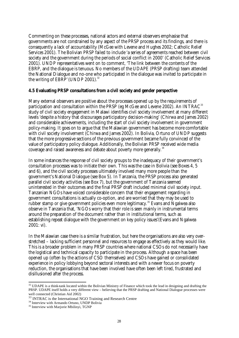Commenting on these processes, national actors and external observers emphasise that governments are not constrained by any aspect of the PRSP process and its findings, and there is consequently a lack of accountability (McGee with Levene and Hughes 2002; Catholic Relief Services 2001). The Bolivian PRSP failed to include 'a series of agreements reached between civil society and the government during the periods of social conflict in 2000' (Catholic Relief Services 2001). UNDP representatives went on to comment, 'The link between the contents of the EBRP, and the dialogue is tenuous. No members of the UDAPE (PRSP drafting) team attended the National Dialogue and no-one who participated in the dialogue was invited to participate in the writing of  $EBRP'$  (UNDP 2001).<sup>32</sup>

### **4.5 Evaluating PRSP consultations from a civil society and gender perspective**

Many external observers are positive about the processes opened up by the requirements of participation and consultation within the PRSP (eg McGee and Levene 2002). An INTRAC<sup>33</sup> study of civil society engagement in Malawi identifies civil society involvement at many different levels 'despite a history that discourages participatory decision-making' (Chirwa and James 2002) and considerable achievements, including the start of civil society involvement in government policy-making. It goes on to argue that the Malawian government has become more comfortable with civil society involvement (Chirwa and James 2002). In Bolivia, Ortuno of UNDP suggests that the more progressive sections of the previous government became fully convinced of the value of participatory policy dialogue. Additionally, the Bolivian PRSP received wide media coverage and raised awareness and debate about poverty more generally.<sup>34</sup>

In some instances the response of civil society groups to the inadequacy of their government's consultation processes was to initiate their own. This was the case in Bolivia (see Boxes 4, 5 and 6), and the civil society processes ultimately involved many more people than the government's National Dialogue (see Box 5). In Tanzania, the PRSP process also generated parallel civil society activities (see Box 7), but the government of Tanzania seemed uninterested in their outcomes and the final PRSP draft included minimal civil society input. Tanzanian NGOs have voiced considerable concern that their engagement regarding in government consultations is actually co-option, and are worried that they may be used to rubber stamp or give government policies even more legitimacy.<sup>35</sup> Evans and Ngalwea also observe in Tanzania that, 'NGOs worry that their role is seen mainly in instrumental terms around the preparation of the document rather than in institutional terms, such as establishing repeat dialogue with the government on key policy issues'(Evans and Ngalwea 2001: vi).

In the Malawian case there is a similar frustration, but here the organisations are also very overstretched – lacking sufficient personnel and resources to engage as effectively as they would like. This is a broader problem in many PRSP countries where national CSOs do not necessarily have the logistical and technical capacity to participate in the process. Although a space has been opened up (often by the actions of CSO themselves) and CSOs have gained or consolidated experience in policy lobbying beyond sectoral interests and with a newer focus on poverty reduction, the organisations that have been involved have often been left tired, frustrated and disillusioned after the process.

l

 $32$  UDAPE is a think-tank located within the Bolivian Ministry of Finance which took the lead in designing and drafting the PRSP. UDAPE itself holds a very different view – believing that the PRSP drafting and National Dialogue processes were well connected (Christian Aid 2002)

<sup>&</sup>lt;sup>33</sup> INTRAC is the International NGO Training and Research Centre

<sup>&</sup>lt;sup>34</sup> Interview with Armando Ortuno, UNDP Bolivia

<sup>35</sup> Interview with Marjorie Mbilinyi, TGNP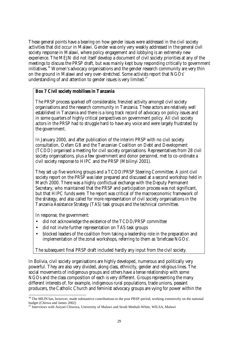These general points have a bearing on how gender issues were addressed in the civil society activities that did occur in Malawi. Gender was only very weakly addressed in the general civil society response in Malawi, where policy engagement and lobbying is an extremely new experience. The MEJN did not itself develop a document of civil society priorities at any of the meetings to discuss the PRSP draft, but was mainly kept busy responding critically to government initiatives.<sup>36</sup> Women's advocacy organisations and the gender research community are very thin on the ground in Malawi and very over-stretched. Some activists report that NGOs' understanding of and attention to gender issues is very limited. $37$ 

### **Box 7 Civil society mobilises in Tanzania**

The PRSP process sparked off considerable, frenzied activity amongst civil society organisations and the research community in Tanzania. These actors are relatively well established in Tanzania and there is a long track record of advocacy on policy issues and in some quarters of highly critical perspectives on government policy. All civil society actors in the PRSP had to struggle hard to have any voice and were largely frustrated by the government.

In January 2000, and after publication of the interim PRSP with no civil society consultation, Oxfam GB and the Tanzanian Coalition on Debt and Development (TCDD) organised a meeting for civil society organisations. Representatives from 28 civil society organisations, plus a few government and donor personnel, met to co-ordinate a civil society response to HIPC and the PRSP (Mbilinyi 2001).

They set up five working groups and a TCDD/PRSP Steering Committee. A joint civil society report on the PRSP was later prepared and discussed at a second workshop held in March 2000. There was a highly conflictual exchange with the Deputy Permanent Secretary, who maintained that the PRSP and participation process was not significant, but that HIPC funds were. The report was critical of the macroeconomic framework of the strategy, and also called for more representation of civil society organisations in the Tanzania Assistance Strategy (TAS) task groups and the technical committee.

In response, the government:

l

- did not acknowledge the existence of the TCDD/PRSP committee
- did not invite further representation on TAS task groups
- blocked leaders of the coalition from taking a leadership role in the preparation and implementation of the zonal workshops, referring to them as 'briefcase NGOs'.

The subsequent final PRSP draft included hardly any input from the civil society.

In Bolivia, civil society organisations are highly developed, numerous and politically very powerful. They are also very divided, along class, ethnicity, gender and religious lines. The social movements of indigenous groups and others have a tense relationship with some NGOs and the class composition of each is very different. Groups representing the many different interests of, for example, indigenous rural populations, trade unions, peasant producers, the Catholic Church and feminist advocacy groups are vying for power within the

 $36$  The MEJN has, however, made substantive contributions to the post PRSP-period, working extensively on the national budget (Chirwa and James 2002)

<sup>&</sup>lt;sup>37</sup> Interviews with Asiyati Chiweza, University of Malawi and Seodi Mnthali-White, WILSA, Malawi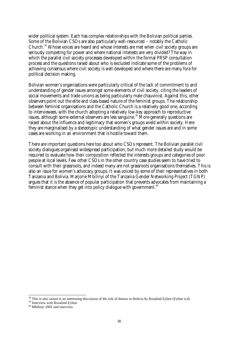wider political system. Each has complex relationships with the Bolivian political parties. Some of the Bolivian CSOs are also particularly well-resourced – notably the Catholic Church.<sup>38</sup> Whose voices are heard and whose interests are met when civil society groups are seriously competing for power and where national interests are very divided? The way in which the parallel civil society processes developed within the formal PRSP consultation process and the questions raised about who is excluded indicate some of the problems of achieving consensus where civil society is well developed and where there are many fora for political decision making.

Bolivian women's organisations were particularly critical of the lack of commitment to and understanding of gender issues amongst some elements of civil society, citing the leaders of social movements and trade unions as being particularly male chauvinist. Against this, other observers point out the elite and class-based nature of the feminist groups. The relationship between feminist organisations and the Catholic Church is a relatively good one, according to interviewees, with the church adopting a relatively low-key approach to reproductive issues, although some external observers are less sanguine.<sup>39</sup> More generally questions are raised about the influence and legitimacy that women's groups wield within society. Here they are marginalised by a stereotypic understanding of what gender issues are and in some cases are working in an environment that is hostile toward them.

There are important questions here too about who CSOs represent. The Bolivian parallel civil society dialogues organised widespread participation, but much more detailed study would be required to evaluate how their composition reflected the interests groups and categories of poor people at local levels. Few other CSOs in the other country case studies seem to have tried to consult with their grassroots, and indeed many are not grassroots organisations themselves. This is also an issue for women's advocacy groups. It was voiced by some of their representatives in both Tanzania and Bolivia. Marjorie Mbilinyi of the Tanzania Gender Networking Project (TGNP) argues that it is the absence of popular participation that prevents advocates from maintaining a feminist stance when they get into policy dialogue with government.<sup>40</sup>

l

<sup>&</sup>lt;sup>38</sup> This is also raised in an interesting discussion of the role of donors in Bolivia by Rosalind Eyben (Eyben n.d)

<sup>&</sup>lt;sup>39</sup> Interview with Rosalind Eyben

<sup>40</sup> Mbilinyi 2001 and interview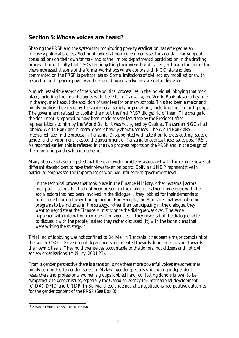## **Section 5: Whose voices are heard?**

Shaping the PRSP and the systems for monitoring poverty eradication has emerged as an intensely political process. Section 4 looked at how governments set the agenda – carrying out consultations on their own terms – and at the limited departmental participation in the drafting process. The difficulty that CSOs had in getting their views heard is clear, although the fate of the views expressed at some of the formal workshops where donors and INGO stakeholders commented on the PRSP is perhaps less so. Some limitations of civil society mobilisations with respect to both general poverty and gendered poverty advocacy were also discussed.

A much less visible aspect of the whole political process lies in the individual lobbying that took place, including the final dialogues with the IFIs. In Tanzania, the World Bank played a key role in the argument about the abolition of user fees for primary schools. This had been a major and highly publicised demand by Tanzanian civil society organisations, including the feminist groups. The government refused to abolish them but the final PRSP did get rid of them. The change to the document is reported to have been made at very last stage by the President after representations to him by the World Bank. It was not agreed by Cabinet. Tanzanian NGOs had lobbied World Bank and bilateral donors heavily about user fees. The World Bank also intervened later in the process in Tanzania. Disappointed with attention to cross-cutting issues of gender and environment it asked the government of Tanzania to address these issues post PRSP. As reported earlier, this is reflected in the two progress reports on the PRSP and in the design of the monitoring and evaluation scheme.

Many observers have suggested that there are wider problems associated with the relative power of different stakeholders to have their views taken on board. Bolivia's UNDP representative in particular emphasised the importance of who had influence at government level.

In the technical process that took place in the Finance Ministry, other [external] actors took part – actors that had not been present in the dialogue. Rather than engage with the social actors that had been involved in the dialogue… they lobbied for their demands to be included during the writing up period. For example, the Ministries that wanted some programs to be included in the strategy, rather than participating in the dialogue, they went to negotiate at the Finance Ministry once the dialogue was over. The same happened with international co-operation agencies... they never sat at the dialogue table to discuss it with the people, instead they rather discussed [it] with the technicians that were writing the strategy. $41$ 

This kind of lobbying was not confined to Bolivia. In Tanzania it has been a major complaint of the radical CSOs. 'Government departments are oriented towards donor agencies not towards their own citizens. They hold themselves accountable to the donors, not citizens and not civil society organisations' (Mbilinyi 2001:23).

From a gender perspective there is a tension, since these more powerful voices are sometimes highly committed to gender issues. In Malawi, gender specialists, including independent researchers and professional women's groups lobbied hard, contacting donors known to be sympathetic to gender issues, especially the Canadian agency for international development (CIDA), DFID and UNDP. In Bolivia, these undemocratic negotiations had positive outcomes for the gender content of the PRSP (See Box 8).

l <sup>41</sup> Amando Ortuno Yanez, UNDP Bolivia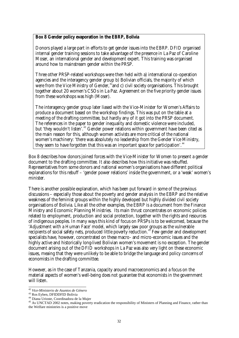### **Box 8 Gender policy evaporation in the EBRP, Bolivia**

Donors played a large part in efforts to get gender issues into the EBRP. DFID organised internal gender training sessions to take advantage of the presence in La Paz of Caroline Moser, an international gender and development expert. This training was organised around how to mainstream gender within the PRSP.

Three other PRSP-related workshops were then held with a) international co-operation agencies and the interagency gender group b) Bolivian officials, the majority of which were from the Vice Ministry of Gender, <sup>42</sup>and c) civil society organisations. This brought together about 20 women's CSOs in La Paz. Agreement on the five priority gender issues from these workshops was high (Moser).

The interagency gender group later liased with the Vice-Minister for Women's Affairs to produce a document based on the workshop findings. This was put on the table at a meeting of the drafting committee, but hardly any of it got into the PRSP document. The references in the paper to gender inequality and domestic violence were included, but 'they wouldn't listen'.<sup>43</sup> Gender power relations within government have been cited as the main reason for this, although women activists are more critical of the national women's machinery: 'there was absolutely no leadership from the Gender Vice Ministry, they seem to have forgotten that this was an important space for participation'.<sup>44</sup>

Box 8 describes how donors joined forces with the Vice-Minister for Women to present a gender document to the drafting committee. It also describes how this initiative was rebuffed. Representatives from some donors and national women's organisations have different political explanations for this rebuff – 'gender power relations' inside the government, or a 'weak' women's minister.

There is another possible explanation, which has been put forward in some of the previous discussions – especially those about the poverty and gender analysis in the EBRP and the relative weakness of the feminist groups within the highly developed but highly divided civil society organisations of Bolivia. Like all the other examples, the EBRP is a document from the Finance Ministry and Economic Planning Ministries. Its main thrust concentrates on economic policies related to employment, production and social protection, together with the rights and resources of indigenous peoples. In many ways this kind of focus on PRSPs is to be welcomed, because the 'Adjustment with a Human Face' model, which largely saw poor groups as the vulnerable recipients of social safety nets, produced little poverty reduction.<sup>45</sup> Few gender and development specialists have, however, concentrated on these macro- and micro-economic issues and the highly active and historically long-lived Bolivian women's movement is no exception. The gender document arising out of the DFID workshops in La Paz was also very light on these economic issues, meaing that they were unlikely to be able to bridge the language and policy concerns of economists in the drafting committee.

However, as in the case of Tanzania, capacity around macroeconomics and a focus on the material aspects of women's well-being does not guarantee that economists in the government will listen.

l <sup>42</sup> *Vice-Ministerio de Asuntos de Género*

<sup>43</sup> Ros Eyben, DFIDDFID Bolivia

<sup>44</sup> Diana Urioste, Coordinadora de la Mujer

<sup>&</sup>lt;sup>45</sup> As UNCTAD 2002 notes, making poverty eradication the responsibility of Ministers of Planning and Finance, rather than the Welfare ministries is a positive move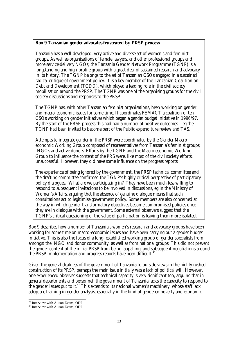### **Box 9 Tanzanian gender advocates frustrated by PRSP process**

Tanzania has a well-developed, very active and diverse set of women's and feminist groups. As well as organisations of female lawyers, and other professional groups and more service-delivery NGOs, the Tanzania Gender Network Programme (TGNP) is a longstanding and high-profile group with a great deal of sustained research and advocacy in its history. The TGNP belongs to the set of Tanzanian CSOs engaged in a sustained radical critique of government policy. It is a key member of the Tanzanian Coalition on Debt and Development (TCDD), which played a leading role in the civil society mobilisation around the PRSP. The TGNP was one of the organising groups for the civil society discussions and responses to the PRSP.

The TGNP has, with other Tanzanian feminist organisations, been working on gender and macro-economic issues for some time. It coordinates FEMACT a coalition of ten CSOs working on gender initiatives which began a gender budget initiative in 1996/97. By the start of the PRSP process this had had a number of positive outcomes – eg the TGNP had been invited to become part of the Public expenditure review and TAS.

Attempts to integrate gender in the PRSP were coordinated by the Gender Macro economic Working Group composed of representatives from Tanzania's feminist groups, INGOs and active donors. Efforts by the TGNP and the Macro economic Working Group to influence the content of the PRS were, like most of the civil society efforts, unsuccessful. However, they did have some influence on the progress reports.

The experience of being ignored by the government, the PRSP technical committee and the drafting committee confirmed the TGNP's highly critical perspective of participatory policy dialogues. 'What are we participating in?' They have been much less willing to respond to subsequent invitations to be involved in discussions, eg in the Ministry of Women's Affairs, arguing that the absence of genuine dialogue means that such consultations act to legitimise government policy. Some members are also concerned at the way in which gender transformatory objectives become compromised policies once they are in dialogue with the government. Some external observers suggest that the TGNP's critical questioning of the value of participation is leaving them more isolated.

Box 9 describes how a number of Tanzania's women's research and advocacy groups have been working for some time on macro-economic issues and have been carrying out a gender budget initiative. This is also the focus of a long- established working group of gender specialists from amongst the INGO and donor community, as well as from national groups. This did not prevent the gender content of the initial PRSP from being 'appalling' and subsequent negotiations around the PRSP implementation and progress reports have been difficult.<sup>46</sup>

Given the general deafness of the government of Tanzania to outside views in the highly rushed construction of its PRSP, perhaps the main issue initially was a lack of political will. However, one experienced observer suggests that technical capacity is very significant too, arguing that in general departments and personnel, the government of Tanzania lacks the capacity to respond to the gender issues put to it.<sup>47</sup> This extends to its national women's machinery, whose staff lack adequate training in gender analysis, especially in the kind of gendered poverty and economic

l <sup>46</sup> Interview with Alison Evans, ODI

<sup>47</sup> Interview with Alison Evans, ODI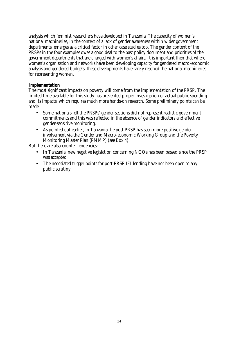analysis which feminist researchers have developed in Tanzania. The capacity of women's national machineries, in the context of a lack of gender awareness within wider government departments, emerges as a critical factor in other case studies too. The gender content of the PRSPs in the four examples owes a good deal to the past policy document and priorities of the government departments that are charged with women's affairs. It is important then that where women's organisation and networks have been developing capacity for gendered macro-economic analysis and gendered budgets, these developments have rarely reached the national machineries for representing women.

### **Implementation**

The most significant impacts on poverty will come from the implementation of the PRSP. The limited time available for this study has prevented proper investigation of actual public spending and its impacts, which requires much more hands-on research. Some preliminary points can be made:

- Some nationals felt the PRSPs' gender sections did not represent realistic government commitments and this was reflected in the absence of gender indicators and effective gender-sensitive monitoring.
- As pointed out earlier, in Tanzania the post PRSP has seen more positive gender involvement via the Gender and Macro-economic Working Group and the Poverty Monitoring Master Plan (PMMP) (see Box 4).

But there are also counter tendencies:

- In Tanzania, new negative legislation concerning NGOs has been passed since the PRSP was accepted.
- The negotiated trigger points for post-PRSP IFI lending have not been open to any public scrutiny.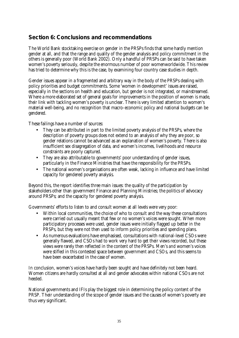## **Section 6: Conclusions and recommendations**

The World Bank stocktaking exercise on gender in the PRSPs finds that some hardly mention gender at all, and that the range and quality of the gender analysis and policy commitment in the others is generally poor (World Bank 2002). Only a handful of PRSPs can be said to have taken women's poverty seriously, despite the enormous number of poor womenworldwide. This review has tried to determine why this is the case, by examining four country case studies in depth.

Gender issues appear in a fragmented and arbitrary way in the body of the PRSPs dealing with policy priorities and budget commitments. Some 'women in development' issues are raised, especially in the sections on health and education, but gender is not integrated, or mainstreamed. Where a more elaborated set of general goals for improvements in the position of women is made, their link with tackling women's poverty is unclear. There is very limited attention to women's material well-being, and no recognition that macro-economic policy and national budgets can be gendered.

These failings have a number of sources:

- They can be attributed in part to the limited poverty analysis of the PRSPs, where the description of poverty groups does not extend to an analysis of why they are poor, so gender relations cannot be advanced as an explanation of women's poverty. There is also insufficient sex disagregation of data, and women's incomes, livelihoods and resource constraints are poorly captured.
- They are also attributable to governments' poor understanding of gender issues, particularly in the Finance Ministries that have the responsibility for the PRSPs.
- The national women's organisations are often weak, lacking in influence and have limited capacity for gendered poverty analysis.

Beyond this, the report identifies three main issues: the quality of the participation by stakeholders other than government Finance and Planning Ministries; the politics of advocacy around PRSPs; and the capacity for gendered poverty analysis.

Governments' efforts to listen to and consult women at all levels were very poor:

- Within local communities, the choice of who to consult and the way these consultations were carried out usually meant that few or no women's voices were sought. When more participatory processes were used, gender issues were initially flagged up better in the PRSPs, but they were not then used to inform policy priorities and spending plans.
- As numerous evaluations have emphasised, consultations with national-level CSOs were generally flawed, and CSOs had to work very hard to get their views recorded, but these views were rarely then reflected in the content of the PRSPs. Men's *and* women's voices were stifled in this contested space between government and CSOs, and this seems to have been exacerbated in the case of women.

In conclusion, women's voices have hardly been sought and have definitely not been heard. Women citizens are hardly consulted at all and gender advocates within national CSOs are not heeded.

National governments and IFIs play the biggest role in determining the policy content of the PRSP. Their understanding of the scope of gender issues and the causes of women's poverty are thus very significant.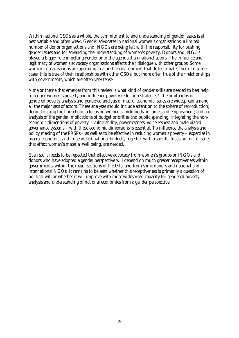Within national CSOs as a whole, the commitment to and understanding of gender issues is at best variable and often weak. Gender advocates in national women's organisations, a limited number of donor organisations and INGOs are being left with the responsibility for pushing gender issues and for advancing the understanding of women's poverty. Donors and INGOs played a bigger role in getting gender onto the agenda than national actors. The influence and legitimacy of women's advocacy organisations affects their dialogue with other groups. Some women's organisations are operating in a hostile environment that de-legitimates them. In some cases, this is true of their relationships with other CSOs, but more often true of their relationships with governments, which are often very tense.

A major theme that emerges from this review is what kind of gender skills are needed to best help to reduce women's poverty and influence poverty reduction strategies? The limitations of gendered poverty analysis and gendered analysis of macro-economic issues are widespread among all the major sets of actors. These analyses should include attention to the sphere of reproduction; deconstructing the household; a focus on women's livelihoods; incomes and employment; and an analysis of the gender implications of budget priorities and public spending. Integrating the noneconomic dimensions of poverty – vulnerability, powerlessness, voicelessness and male-biased governance systems – with these economic dimensions is essential. To influence the analysis and policy making of the PRSPs – as well as to be effective in reducing women's poverty – expertise in macro-economics and in gendered national budgets, together with a specific focus on micro issues that effect women's material well being, are needed.

Even so, it needs to be repeated that effective advocacy from women's groups or INGOs and donors who have adopted a gender perspective will depend on much greater receptiveness within governments, within the major sections of the IFIs, and from some donors and national and international NGOs. It remains to be seen whether this receptiveness is primarily a question of political will or whether it will improve with more widespread capacity for gendered poverty analysis and understanding of national economies from a gender perspective.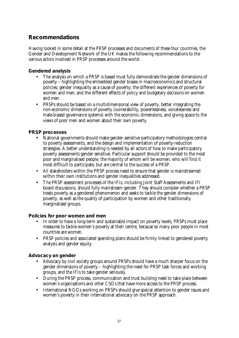## **Recommendations**

Having looked in some detail at the PRSP processes and documents of these four countries, the Gender and Development Network of the UK makes the following recommendations to the various actors involved in PRSP processes around the world:

### **Gendered analysis**

- The analysis on which a PRSP is based must fully demonstrate the gender dimensions of poverty – highlighting the embedded gender biases in macroeconomics and structural policies; gender inequality as a cause of poverty; the different experiences of poverty for women and men; and the different effects of policy and budgetary decisions on women and men.
- PRSPs should be based on a multidimensional view of poverty, better integrating the non-economic dimensions of poverty (vulnerability, powerlessness, voicelessness and male-biased governance systems) with the economic dimensions, and giving space to the views of poor men and women about their own poverty.

### **PRSP processes**

- National governments should make gender-sensitive participatory methodologies central to poverty assessments, and the design and implementation of poverty-reduction strategies. A better understanding is needed by all actors of how to make participatory poverty assessments gender sensitive. Particular support should be provided to the most poor and marginalised people, the majority of whom will be women, who will find it most difficult to participate, but are central to the success of a PRSP.
- All stakeholders within the PRSP process need to ensure that gender is mainstreamed within their own institutions and gender inequalities addressed.
- The PRSP assessment processes of the IFIs, including Joint Staff Assessments and IFI board discussions, should fully mainstream gender. They should consider whether a PRSP treats poverty as a gendered phenomenon and seeks to tackle the gender dimensions of poverty, as well as the quality of participation by women and other traditionally marginalised groups.

### **Policies for poor women and men**

- In order to have a long-term and sustainable impact on poverty levels, PRSPs must place measures to tackle women's poverty at their centre, because so many poor people in most countries are women.
- PRSP policies and associated spending plans should be firmly linked to gendered poverty analysis and gender equity.

### **Advocacy on gender**

- Advocacy by civil society groups around PRSPs should have a much sharper focus on the gender dimensions of poverty – highlighting the need for PRSP task forces and working groups, and the IFIs to take gender seriously.
- During the PRSP process, communication and trust building need to take place between women's organisations and other CSOs that have more access to the PRSP process.
- International NGOs working on PRSPs should give special attention to gender issues and women's poverty in their international advocacy on the PRSP approach.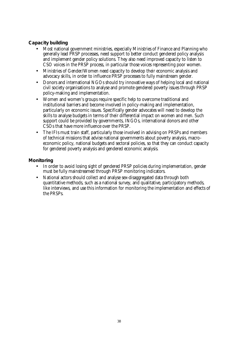### **Capacity building**

- Most national government ministries, especially Ministries of Finance and Planning who generally lead PRSP processes, need support to better conduct gendered policy analysis and implement gender policy solutions. They also need improved capacity to listen to CSO voices in the PRSP process, in particular those voices representing poor women.
- Ministries of Gender/Women need capacity to develop their economic analysis and advocacy skills, in order to influence PRSP processes to fully mainstream gender.
- Donors and international NGOs should try innovative ways of helping local and national civil society organisations to analyse and promote gendered poverty issues through PRSP policy-making and implementation.
- Women and women's groups require specific help to overcome traditional and institutional barriers and become involved in policy-making and implementation, particularly on economic issues. Specifically gender advocates will need to develop the skills to analyse budgets in terms of their differential impact on women and men. Such support could be provided by governments, INGOs, international donors and other CSOs that have more influence over the PRSP.
- The IFIs must train staff, particularly those involved in advising on PRSPs and members of technical missions that advise national governments about poverty analysis, macroeconomic policy, national budgets and sectoral policies, so that they can conduct capacity for gendered poverty analysis and gendered economic analysis.

### **Monitoring**

- In order to avoid losing sight of gendered PRSP policies during implementation, gender must be fully mainstreamed through PRSP monitoring indicators.
- National actors should collect and analyse sex-disaggregated data through both quantitative methods, such as a national survey, and qualitative, participatory methods, like interviews, and use this information for monitoring the implementation and effects of the PRSPs.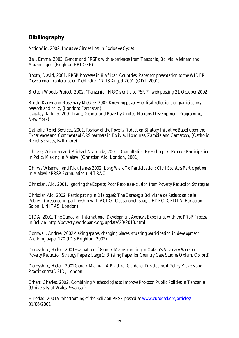## **Bibiliography**

ActionAid, 2002. *Inclusive Circles Lost in Exclusive Cycles*

Bell, Emma, 2003. *Gender and PRSPs: with experiences from Tanzania, Bolivia, Vietnam and Mozambique*. (Brighton BRIDGE)

Booth, David, 2001. *PRSP Processes in 8 African Countries: Paper for presentation to the WIDER Development conference on Debt relief. 17-18 August 2001* (ODI. 2001)

Bretton Woods Project, 2002. 'Tanzanian NGOs criticise PSRP' web posting 21 October 2002

Brock, Karen and Rosemary McGee, 2002 *Knowing poverty: critical reflections on participatory research and policy* (London: Earthscan) Cagatay, Nilufer, 2001*Trade, Gender and Povert,y* United Nations Development Programme, New York)

Catholic Relief Services, 2001. *Review of the Poverty Reduction Strategy Initiative Based upon the Experiences and Comments of CRS partners in Bolivia, Honduras, Zambia and Cameroon,* (Catholic Relief Services, Baltimore)

Chijere, Wiseman and Michael Nyirenda, 2001. *Consultation By Helicopter: People's Participation in Policy Making in Malawi* (Christian Aid, London, 2001)

Chirwa,Wiseman and Rick James 2002 *Long Walk To Participation: Civil Society's Participation in Malawi's PRSP Formulation* (INTRAC

Christian, Aid, 2001. *Ignoring the Experts; Poor People's exclusion from Poverty Reduction Strategies*

Christian Aid, 2002. *Participating in Dialogue?: The Estrategia Boliviana de Reduccion de la Pobreza* (prepared in partnership with ACLO, Causananchispaj, CEDEC, CEDLA, Funacion Solon, UNITAS, London)

CIDA, 2001. *The Canadian International Development Agency's Experience with the PRSP Process in Bolivia* http://poverty.worldbank.org/update/20/2018.html

Cornwall, Andrea, 2002*Making spaces, changing places: situating participation in development* Working paper 170 (IDS Brighton, 2002)

Derbyshire, Helen, 2001*Evaluation of Gender Mainstreaming in Oxfam's Advocacy Work on Poverty Reduction Strategy Papers: Stage 1: Briefing Paper for Country Case Studies*(Oxfam, Oxford)

Derbyshire, Helen, 2002*Gender Manual: A Practical Guide for Development Policy Makers and Practitioners* (DFID, London)

Erhart, Charles, 2002. *Combining Methodologies to Improve Pro-poor Public Policies in Tanzania* (University of Wales, Swansea)

Eurodad, 2001a '*Shortcoming of the Bolivian PRSP* posted at www.eurodad.org/articles/ 01/06/2001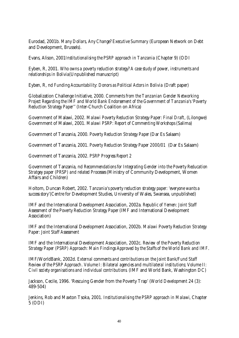Eurodad, 2001b. *Many Dollars, Any Change? Executive Summary* (European Network on Debt and Development, Brussels).

Evans, Alison, 2001*Institutionalising the PSRP approach in Tanzania* (Chapter 9) (ODI

Eyben, R, 2001. *Who owns a poverty reduction strategy? A case study of power, instruments and relationships in Bolivia*(Unpublished manuscript)

Eyben, R, nd *Funding Accountability: Donors as Political Actors in Bolivia* (Draft paper)

Globalization Challenge Initiative, 2000. *Comments from the Tanzanian Gender Networking Project Regarding the IMF and World Bank Endorsement of the Government of Tanzania's 'Poverty Reduction Strategy Paper'*' (Inter-Church Coalition on Africa)

Government of Malawi, 2002. *Malawi Poverty Reduction Strategy Paper: Final Draft*, (Lilongwe) Government of Malawi, 2001. *Malawi PSRP: Report of Commenting Workshops* (Salima)

Government of Tanzania, 2000. *Poverty Reduction Strategy Paper* (Dar Es Salaam)

Government of Tanzania, 2001. *Poverty Reduction Strategy Paper 2000/01* (Dar Es Salaam)

Government of Tanzania, 2002. *PSRP Progress Report 2*

Government of Tanzania, nd *Recommendations for Integrating Gender into the Poverty Reducation Stratgey paper (PRSP) and related Processes* (Ministry of Community Development, Women Affairs and Children)

Holtom, Duncan Robert, 2002. *Tanzania's poverty reduction strategy paper: 'everyone wants a success story*'(Centre for Development Studies, University of Wales, Swansea, unpublished)

IMF and the International Development Association, 2002a. *Republic of Yemen: Joint Staff Assessment of the Poverty Reduction Strategy Paper* (IMF and International Development Association)

IMF and the International Development Association, 2002b. *Malawi Poverty Reduction Strategy Paper: Joint Staff Assessment*

IMF and the International Development Association, 2002c. *Review of the Poverty Reduction Strategy Paper (PSRP) Approach: Main Findings Approved by the Staffs of the World Bank and IMF*.

IMF/WorldBank, 2002d. *External comments and contributions on the Joint Bank/Fund Staff Review of the PSRP Approach*. *Volume I: Bilateral agencies and multilateral institutions; Volume II: Civil society organisations and individual contributions*. (IMF and World Bank, Washington DC)

Jackson, Cecile, 1996. 'Rescuing Gender from the Poverty Trap' (*World Development* 24 (3): 489-504)

Jenkins, Rob and Maxton Tsoka, 2001. *Institutionalising the PSRP approach in Malawi*, Chapter 5 (ODI)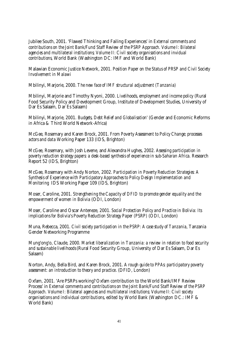Jubilee South, 2001. 'Flawed Thinking and Failing Experiences' in *External comments and contributions on the Joint Bank/Fund Staff Review of the PSRP Approach. Volume I: Bilateral agencies and multilateral institutions; Volume II: Civil society organisations and invidual contributions*, World Bank (Washington DC: IMF and World Bank)

Malawian Economic Justice Network, 2001. *Position Paper on the Status of PRSP and Civil Society Involvement in Malawi*

Mbilinyi, Marjorie, 2000. *The new face of IMF structural adjustment (Tanzania)*

Mbilinyi, Marjorie and Timothy Nyoni, 2000. *Livelihoods, employment and income policy* (Rural Food Security Policy and Development Group, Institute of Development Studies, University of Dar Es Salaam, Dar Es Salaam)

Mbilinyi, Marjorie, 2001. *Budgets, Debt Relief and Globalisation'* (Gender and Economic Reforms in Africa & Third World Network-Africa)

McGee, Rosemary and Karen Brock, 2001. *From Poverty Assessment to Policy Change; processes actors and data* Working Paper 133 (IDS, Brighton)

McGee, Rosemary, with Josh Levene, and Alexandra Hughes, 2002. *Assessing participation in poverty reduction strategy papers: a desk-based synthesis of experience in sub-Saharan Africa*. Research Report 52 (IDS, Brighton)

McGee, Rosemary with Andy Norton, 2002. *Participation in Poverty Reduction Strategies: A Synthesis of Experience with Participatory Approaches to Policy Design Implementation and Monitoring* IDS Working Paper 109 (IDS, Brighton)

Moser, Caroline, 2001. *Strengthening the Capacity of DFID to promote gender equality and the empowerment of women in Bolivia* (ODI, London)

Moser, Caroline and Oscar Anteneze, 2001. *Social Protection Policy and Practice in Bolivia: Its implications for Bolivia's Poverty Reduction Strategy Paper (PSRP)* (ODI, London)

Muna, Rebecca, 2001. *Civil society participation in the PSRP: A case study of Tanzania*, Tanzania Gender Networking Programme

Mung'ong'o, Claude, 2000. *Market liberalization in Tanzania: a review in relation to food security and sustainable livelihoods* (Rural Food Security Group, University of Dar Es Salaam, Dar Es Salaam)

Norton, Andy, Bella Bird, and Karen Brock, 2001. *A rough guide to PPAs: participatory poverty assessment: an introduction to theory and practice*. (DFID, London)

Oxfam, 2001. 'Are PSRPs working? Oxfam contribution to the World Bank/IMF Review Process' in *External comments and contributions on the Joint Bank/Fund Staff Review of the PSRP Approach. Volume I: Bilateral agencies and multilateral institutions; Volume II: Civil society organisations and individual contributions*, edited by World Bank (Washington DC.: IMF & World Bank)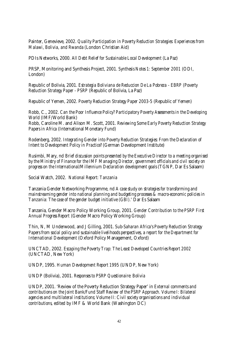Painter, Genevieve, 2002. *Quality Participation in Poverty Reduction Strategies: Experiences from Malawi, Bolivia, and Rwanda* (London Christian Aid)

PDIs Networks, 2000. *All Debt Relief for Sustainable Local Development* (La Paz)

PRSP, Monitoring and Synthesis Project, 2001. *Synthesis Notes 1: September 2001* (ODI, London)

Republic of Bolivia, 2001. *Estrategia Boliviana de Reduccion De La Pobreza - EBRP (Poverty Reduction Strategy Paper - PSRP* (Republic of Bolivia, La Paz)

Republic of Yemen, 2002. *Poverty Reduction Strategy Paper 2003-5* (Republic of Yemen)

Robb, C., 2002. *Can the Poor Influence Policy? Participatory Poverty Assessments in the Developing World* (IMF/World Bank) Robb, Caroline M. and Alison M. Scott, 2001. *Reviewing Some Early Poverty Reduction Strategy Papers in Africa* (International Monetary Fund)

Rodenberg, 2002. *Integrating Gender into Poverty Reduction Strategies: From the Declaration of Intent to Development Policy in Practice?* (German Development Institute)

Rusimbi, Mary, nd *Brief discussion points presented by the Executive Director to a meeting organised by the Ministry of Finance for the IMF Managing Director, government officials and civil society on progress on the International/Millennium Declaration development goals* (TGNP, Dar Es Salaam)

Social Watch, 2002. *National Report: Tanzania*

Tanzania Gender Networking Programme, nd *A case study on strategies for transforming and mainstreaming gender into national planning and budgeting processes & macro-economic policies in Tanzania: The case of the gender budget initiative (GBI).*' Dar Es Salaam

Tanzania, Gender Macro Policy Working Group, 2001. *Gender Contribution to the PSRP First Annual Progress Report* (Gender Macro Policy Working Group)

Thin, N, M Underwood, and J Gilling, 2001. *Sub-Saharan Africa's Poverty Reduction Strategy Papers from social policy and sustainable livelihoods perspectives, a report for the Department for International Development* (Oxford Policy Management, Oxford)

UNCTAD, 2002. *Escaping the Poverty Trap: The Least Developed Countries Report 2002* (UNCTAD, New York)

UNDP, 1995. *Human Development Report 1995* (UNDP, New York)

UNDP (Bolivia), 2001. *Responses to PSRP Questionaire: Bolivia*

UNDP, 2001. 'Review of the Poverty Reduction Strategy Paper' in *External comments and contributions on the Joint Bank/Fund Staff Review of the PSRP Approach. Volume I: Bilateral agencies and multilateral institutions; Volume II: Civil society organisations and individual contributions*, edited by IMF & World Bank (Washington DC)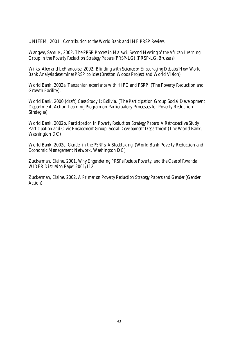UNIFEM, 2001. *Contribution to the World Bank and IMF PRSP Review*.

Wangwe, Samuel, 2002. *The PRSP Process in Malawi: Second Meeting of the African Learning Group in the Poverty Reduction Strategy Papers (PRSP-LG)* (PRSP-LG, Brussels)

Wilks, Alex and LeFrancoise, 2002. *Blinding with Science or Encouraging Debate? How World Bank Analysis determines PRSP policies* (Bretton Woods Project and World Vision)

World Bank, 2002a. *Tanzanian experience with HIPC and PSRP'* (The Poverty Reduction and Growth Facility).

World Bank, 2000 (draft) *Case Study 1: Bolivia*. (The Participation Group Social Development Department, Action Learning Program on Participatory Processes for Poverty Reduction Strategies)

World Bank, 2002b. *Participation in Poverty Reduction Strategy Papers: A Retrospective Study Participation and Civic Engagement Group, Social Development Department* (The World Bank, Washington DC)

World Bank, 2002c. *Gender in the PSRPs: A Stocktaking*. (World Bank Poverty Reduction and Economic Management Network, Washington DC)

Zuckerman, Elaine, 2001. *Why Engendering PRSPs Reduce Poverty, and the Case of Rwanda WIDER Discussion Paper 2001/112*

Zuckerman, Elaine, 2002. *A Primer on Poverty Reduction Strategy Papers and Gender* (Gender Action)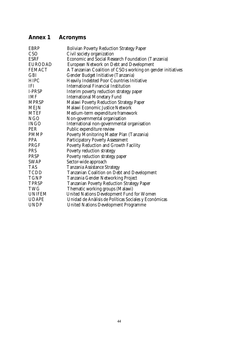## **Annex 1 Acronyms**

| <b>EBRP</b>   | <b>Bolivian Poverty Reduction Strategy Paper</b>            |
|---------------|-------------------------------------------------------------|
| <b>CSO</b>    | Civil society organization                                  |
| <b>ESRF</b>   | Economic and Social Research Foundation (Tanzania)          |
| EURODAD       | European Network on Debt and Development                    |
| <b>FEMACT</b> | A Tanzanian Coalition of CSOs working on gender initiatives |
| <b>GBI</b>    | Gender Budget Initiative (Tanzania)                         |
| <b>HIPC</b>   | <b>Heavily Indebted Poor Countries Initiative</b>           |
| IFI           | <b>International Financial Institution</b>                  |
| I-PRSP        | Interim poverty reduction strategy paper                    |
| <b>IMF</b>    | <b>International Monetary Fund</b>                          |
| <b>MPRSP</b>  | <b>Malawi Poverty Reduction Strategy Paper</b>              |
| <b>MEJN</b>   | Malawi Economic Justice Network                             |
| <b>MTEF</b>   | Medium-term expenditure framework                           |
| <b>NGO</b>    | Non-governmental organisation                               |
| <b>INGO</b>   | International non-governmental organisation                 |
| <b>PER</b>    | Public expenditure review                                   |
| <b>PMMP</b>   | Poverty Monitoring Master Plan (Tanzania)                   |
| <b>PPA</b>    | Participatory Poverty Assessment                            |
| PRGF          | Poverty Reduction and Growth Facility                       |
| <b>PRS</b>    | Poverty reduction strategy                                  |
| <b>PRSP</b>   | Poverty reduction strategy paper                            |
| <b>SWAP</b>   | Sector-wide approach                                        |
| <b>TAS</b>    | Tanzania Assistance Strategy                                |
| <b>TCDD</b>   | Tanzanian Coalition on Debt and Development                 |
| <b>TGNP</b>   | Tanzania Gender Networking Project                          |
| <b>TPRSP</b>  | <b>Tanzanian Poverty Reduction Strategy Paper</b>           |
| <b>TWG</b>    | Thematic working groups (Malawi)                            |
| UNIFEM        | <b>United Nations Development Fund for Women</b>            |
| <b>UDAPE</b>  | Unidad de Anàlisis de Políticas Sociales y Económicas       |
| <b>UNDP</b>   | <b>United Nations Development Programme</b>                 |